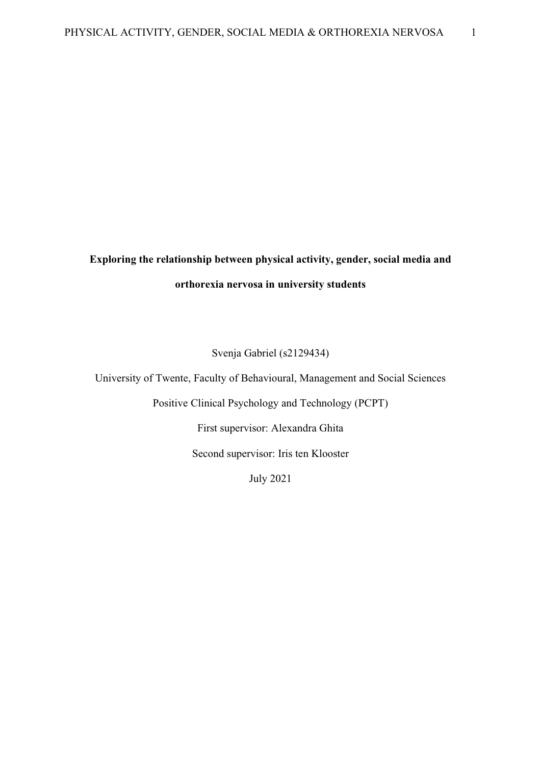# **Exploring the relationship between physical activity, gender, social media and orthorexia nervosa in university students**

Svenja Gabriel (s2129434)

University of Twente, Faculty of Behavioural, Management and Social Sciences

Positive Clinical Psychology and Technology (PCPT)

First supervisor: Alexandra Ghita

Second supervisor: Iris ten Klooster

July 2021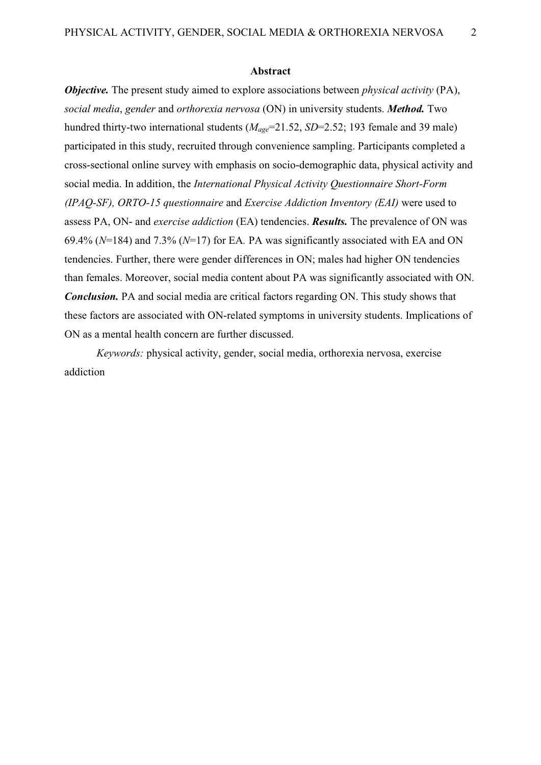#### **Abstract**

*Objective.* The present study aimed to explore associations between *physical activity* (PA), *social media*, *gender* and *orthorexia nervosa* (ON) in university students. *Method.* Two hundred thirty-two international students ( $M_{age}$ =21.52, *SD*=2.52; 193 female and 39 male) participated in this study, recruited through convenience sampling. Participants completed a cross-sectional online survey with emphasis on socio-demographic data, physical activity and social media. In addition, the *International Physical Activity Questionnaire Short-Form (IPAQ-SF), ORTO-15 questionnaire* and *Exercise Addiction Inventory (EAI)* were used to assess PA, ON- and *exercise addiction* (EA) tendencies. *Results.* The prevalence of ON was 69.4% (*N*=184) and 7.3% (*N*=17) for EA*.* PA was significantly associated with EA and ON tendencies. Further, there were gender differences in ON; males had higher ON tendencies than females. Moreover, social media content about PA was significantly associated with ON. *Conclusion.* PA and social media are critical factors regarding ON. This study shows that these factors are associated with ON-related symptoms in university students. Implications of ON as a mental health concern are further discussed.

*Keywords:* physical activity, gender, social media, orthorexia nervosa, exercise addiction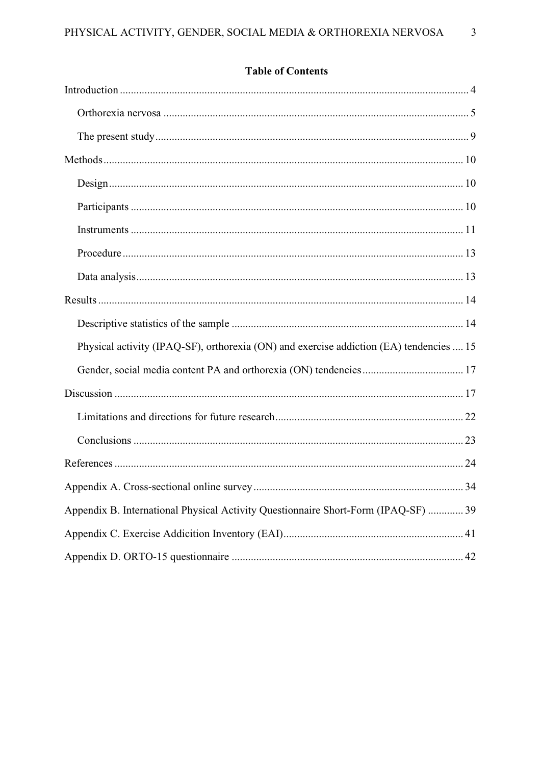| Physical activity (IPAQ-SF), orthorexia (ON) and exercise addiction (EA) tendencies  15 |
|-----------------------------------------------------------------------------------------|
|                                                                                         |
|                                                                                         |
|                                                                                         |
|                                                                                         |
|                                                                                         |
|                                                                                         |
| Appendix B. International Physical Activity Questionnaire Short-Form (IPAQ-SF)  39      |
|                                                                                         |
|                                                                                         |

## **Table of Contents**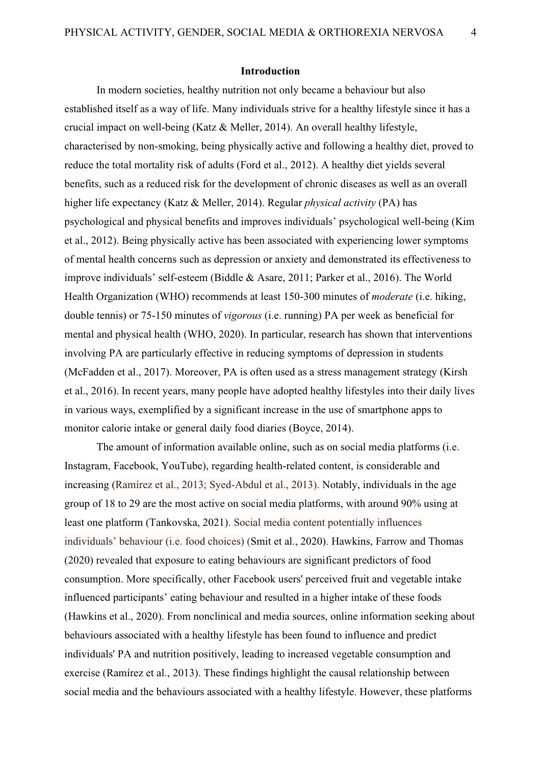**Introduction**

<span id="page-3-0"></span>In modern societies, healthy nutrition not only became a behaviour but also established itself as a way of life. Many individuals strive for a healthy lifestyle since it has a crucial impact on well-being (Katz & Meller, 2014). An overall healthy lifestyle, characterised by non-smoking, being physically active and following a healthy diet, proved to reduce the total mortality risk of adults (Ford et al., 2012). A healthy diet yields several benefits, such as a reduced risk for the development of chronic diseases as well as an overall higher life expectancy (Katz & Meller, 2014). Regular *physical activity* (PA) has psychological and physical benefits and improves individuals' psychological well-being (Kim et al., 2012). Being physically active has been associated with experiencing lower symptoms of mental health concerns such as depression or anxiety and demonstrated its effectiveness to improve individuals' self-esteem (Biddle & Asare, 2011; Parker et al., 2016). The World Health Organization (WHO) recommends at least 150-300 minutes of *moderate* (i.e. hiking, double tennis) or 75-150 minutes of *vigorous* (i.e. running) PA per week as beneficial for mental and physical health (WHO, 2020). In particular, research has shown that interventions involving PA are particularly effective in reducing symptoms of depression in students (McFadden et al., 2017). Moreover, PA is often used as a stress management strategy (Kirsh et al., 2016). In recent years, many people have adopted healthy lifestyles into their daily lives in various ways, exemplified by a significant increase in the use of smartphone apps to monitor calorie intake or general daily food diaries (Boyce, 2014).

The amount of information available online, such as on social media platforms (i.e. Instagram, Facebook, YouTube), regarding health-related content, is considerable and increasing (Ramírez et al., 2013; Syed-Abdul et al., 2013). Notably, individuals in the age group of 18 to 29 are the most active on social media platforms, with around 90% using at least one platform (Tankovska, 2021). Social media content potentially influences individuals' behaviour (i.e. food choices) (Smit et al., 2020). Hawkins, Farrow and Thomas (2020) revealed that exposure to eating behaviours are significant predictors of food consumption. More specifically, other Facebook users' perceived fruit and vegetable intake influenced participants' eating behaviour and resulted in a higher intake of these foods (Hawkins et al., 2020). From nonclinical and media sources, online information seeking about behaviours associated with a healthy lifestyle has been found to influence and predict individuals' PA and nutrition positively, leading to increased vegetable consumption and exercise (Ramírez et al., 2013). These findings highlight the causal relationship between social media and the behaviours associated with a healthy lifestyle. However, these platforms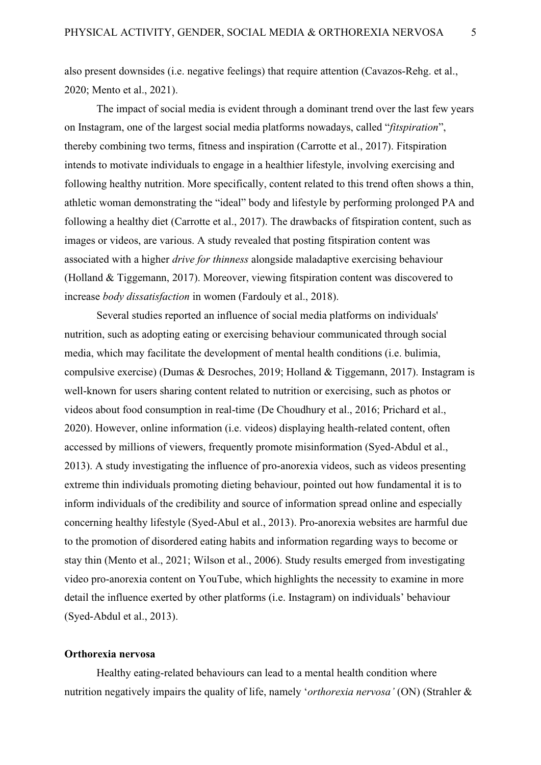also present downsides (i.e. negative feelings) that require attention (Cavazos‐Rehg. et al., 2020; Mento et al., 2021).

The impact of social media is evident through a dominant trend over the last few years on Instagram, one of the largest social media platforms nowadays, called "*fitspiration*", thereby combining two terms, fitness and inspiration (Carrotte et al., 2017). Fitspiration intends to motivate individuals to engage in a healthier lifestyle, involving exercising and following healthy nutrition. More specifically, content related to this trend often shows a thin, athletic woman demonstrating the "ideal" body and lifestyle by performing prolonged PA and following a healthy diet (Carrotte et al., 2017). The drawbacks of fitspiration content, such as images or videos, are various. A study revealed that posting fitspiration content was associated with a higher *drive for thinness* alongside maladaptive exercising behaviour (Holland & Tiggemann, 2017). Moreover, viewing fitspiration content was discovered to increase *body dissatisfaction* in women (Fardouly et al., 2018).

Several studies reported an influence of social media platforms on individuals' nutrition, such as adopting eating or exercising behaviour communicated through social media, which may facilitate the development of mental health conditions (i.e. bulimia, compulsive exercise) (Dumas & Desroches, 2019; Holland & Tiggemann, 2017). Instagram is well-known for users sharing content related to nutrition or exercising, such as photos or videos about food consumption in real-time (De Choudhury et al., 2016; Prichard et al., 2020). However, online information (i.e. videos) displaying health-related content, often accessed by millions of viewers, frequently promote misinformation (Syed-Abdul et al., 2013). A study investigating the influence of pro-anorexia videos, such as videos presenting extreme thin individuals promoting dieting behaviour, pointed out how fundamental it is to inform individuals of the credibility and source of information spread online and especially concerning healthy lifestyle (Syed-Abul et al., 2013). Pro-anorexia websites are harmful due to the promotion of disordered eating habits and information regarding ways to become or stay thin (Mento et al., 2021; Wilson et al., 2006). Study results emerged from investigating video pro-anorexia content on YouTube, which highlights the necessity to examine in more detail the influence exerted by other platforms (i.e. Instagram) on individuals' behaviour (Syed-Abdul et al., 2013).

#### <span id="page-4-0"></span>**Orthorexia nervosa**

Healthy eating-related behaviours can lead to a mental health condition where nutrition negatively impairs the quality of life, namely '*orthorexia nervosa'* (ON) (Strahler &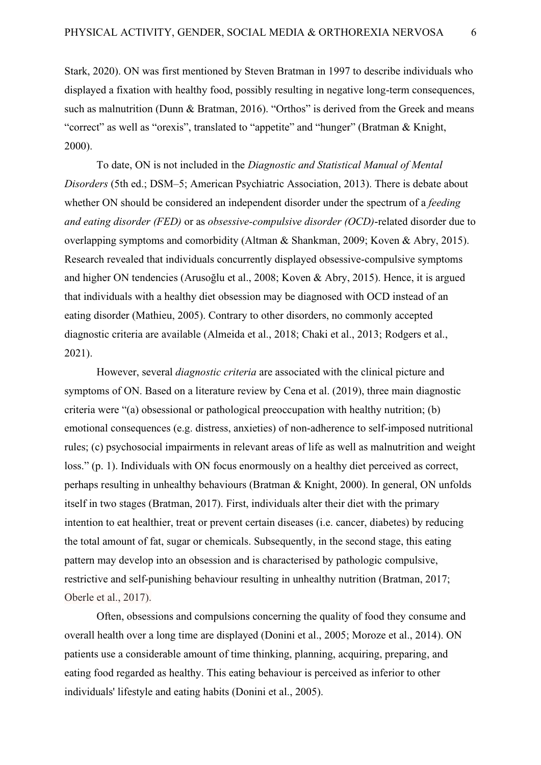Stark, 2020). ON was first mentioned by Steven Bratman in 1997 to describe individuals who displayed a fixation with healthy food, possibly resulting in negative long-term consequences, such as malnutrition (Dunn & Bratman, 2016). "Orthos" is derived from the Greek and means "correct" as well as "orexis", translated to "appetite" and "hunger" (Bratman & Knight, 2000).

To date, ON is not included in the *Diagnostic and Statistical Manual of Mental Disorders* (5th ed.; DSM–5; American Psychiatric Association, 2013). There is debate about whether ON should be considered an independent disorder under the spectrum of a *feeding and eating disorder (FED)* or as *obsessive-compulsive disorder (OCD)*-related disorder due to overlapping symptoms and comorbidity (Altman & Shankman, 2009; Koven & Abry, 2015). Research revealed that individuals concurrently displayed obsessive-compulsive symptoms and higher ON tendencies (Arusoğlu et al., 2008; Koven & Abry, 2015). Hence, it is argued that individuals with a healthy diet obsession may be diagnosed with OCD instead of an eating disorder (Mathieu, 2005). Contrary to other disorders, no commonly accepted diagnostic criteria are available (Almeida et al., 2018; Chaki et al., 2013; Rodgers et al., 2021).

However, several *diagnostic criteria* are associated with the clinical picture and symptoms of ON. Based on a literature review by Cena et al. (2019), three main diagnostic criteria were "(a) obsessional or pathological preoccupation with healthy nutrition; (b) emotional consequences (e.g. distress, anxieties) of non-adherence to self-imposed nutritional rules; (c) psychosocial impairments in relevant areas of life as well as malnutrition and weight loss." (p. 1). Individuals with ON focus enormously on a healthy diet perceived as correct, perhaps resulting in unhealthy behaviours (Bratman & Knight, 2000). In general, ON unfolds itself in two stages (Bratman, 2017). First, individuals alter their diet with the primary intention to eat healthier, treat or prevent certain diseases (i.e. cancer, diabetes) by reducing the total amount of fat, sugar or chemicals. Subsequently, in the second stage, this eating pattern may develop into an obsession and is characterised by pathologic compulsive, restrictive and self-punishing behaviour resulting in unhealthy nutrition (Bratman, 2017; Oberle et al., 2017).

Often, obsessions and compulsions concerning the quality of food they consume and overall health over a long time are displayed (Donini et al., 2005; Moroze et al., 2014). ON patients use a considerable amount of time thinking, planning, acquiring, preparing, and eating food regarded as healthy. This eating behaviour is perceived as inferior to other individuals' lifestyle and eating habits (Donini et al., 2005).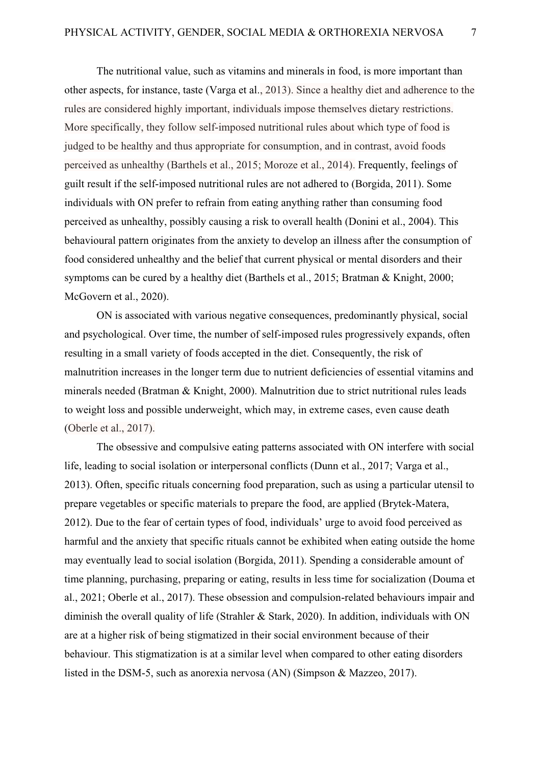The nutritional value, such as vitamins and minerals in food, is more important than other aspects, for instance, taste (Varga et al., 2013). Since a healthy diet and adherence to the rules are considered highly important, individuals impose themselves dietary restrictions. More specifically, they follow self-imposed nutritional rules about which type of food is judged to be healthy and thus appropriate for consumption, and in contrast, avoid foods perceived as unhealthy (Barthels et al., 2015; Moroze et al., 2014). Frequently, feelings of guilt result if the self-imposed nutritional rules are not adhered to (Borgida, 2011). Some individuals with ON prefer to refrain from eating anything rather than consuming food perceived as unhealthy, possibly causing a risk to overall health (Donini et al., 2004). This behavioural pattern originates from the anxiety to develop an illness after the consumption of food considered unhealthy and the belief that current physical or mental disorders and their symptoms can be cured by a healthy diet (Barthels et al., 2015; Bratman & Knight, 2000; McGovern et al., 2020).

ON is associated with various negative consequences, predominantly physical, social and psychological. Over time, the number of self-imposed rules progressively expands, often resulting in a small variety of foods accepted in the diet. Consequently, the risk of malnutrition increases in the longer term due to nutrient deficiencies of essential vitamins and minerals needed (Bratman & Knight, 2000). Malnutrition due to strict nutritional rules leads to weight loss and possible underweight, which may, in extreme cases, even cause death (Oberle et al., 2017).

The obsessive and compulsive eating patterns associated with ON interfere with social life, leading to social isolation or interpersonal conflicts (Dunn et al., 2017; Varga et al., 2013). Often, specific rituals concerning food preparation, such as using a particular utensil to prepare vegetables or specific materials to prepare the food, are applied (Brytek-Matera, 2012). Due to the fear of certain types of food, individuals' urge to avoid food perceived as harmful and the anxiety that specific rituals cannot be exhibited when eating outside the home may eventually lead to social isolation (Borgida, 2011). Spending a considerable amount of time planning, purchasing, preparing or eating, results in less time for socialization (Douma et al., 2021; Oberle et al., 2017). These obsession and compulsion-related behaviours impair and diminish the overall quality of life (Strahler & Stark, 2020). In addition, individuals with ON are at a higher risk of being stigmatized in their social environment because of their behaviour. This stigmatization is at a similar level when compared to other eating disorders listed in the DSM-5, such as anorexia nervosa (AN) (Simpson & Mazzeo, 2017).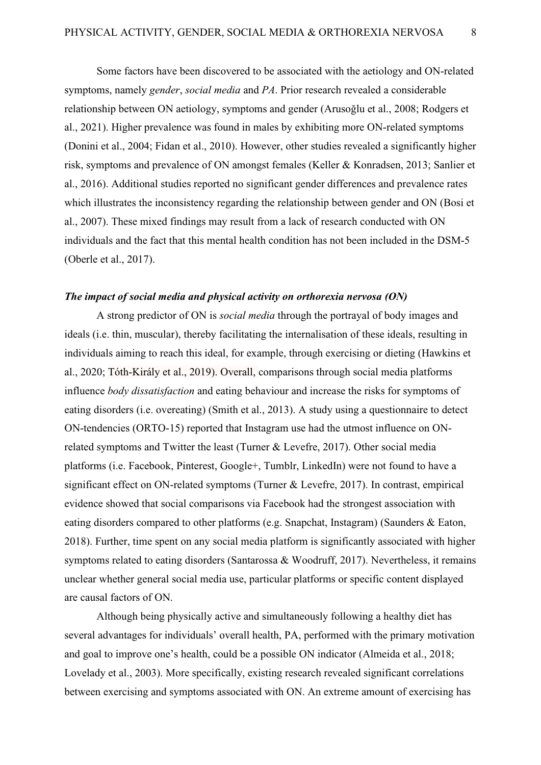Some factors have been discovered to be associated with the aetiology and ON-related symptoms, namely *gender*, *social media* and *PA*. Prior research revealed a considerable relationship between ON aetiology, symptoms and gender (Arusoğlu et al., 2008; Rodgers et al., 2021). Higher prevalence was found in males by exhibiting more ON-related symptoms (Donini et al., 2004; Fidan et al., 2010). However, other studies revealed a significantly higher risk, symptoms and prevalence of ON amongst females (Keller & Konradsen, 2013; Sanlier et al., 2016). Additional studies reported no significant gender differences and prevalence rates which illustrates the inconsistency regarding the relationship between gender and ON (Bosi et al., 2007). These mixed findings may result from a lack of research conducted with ON individuals and the fact that this mental health condition has not been included in the DSM-5 (Oberle et al., 2017).

#### *The impact of social media and physical activity on orthorexia nervosa (ON)*

A strong predictor of ON is *social media* through the portrayal of body images and ideals (i.e. thin, muscular), thereby facilitating the internalisation of these ideals, resulting in individuals aiming to reach this ideal, for example, through exercising or dieting (Hawkins et al., 2020; Tóth-Király et al., 2019). Overall, comparisons through social media platforms influence *body dissatisfaction* and eating behaviour and increase the risks for symptoms of eating disorders (i.e. overeating) (Smith et al., 2013). A study using a questionnaire to detect ON-tendencies (ORTO-15) reported that Instagram use had the utmost influence on ONrelated symptoms and Twitter the least (Turner & Levefre, 2017). Other social media platforms (i.e. Facebook, Pinterest, Google+, Tumblr, LinkedIn) were not found to have a significant effect on ON-related symptoms (Turner & Levefre, 2017). In contrast, empirical evidence showed that social comparisons via Facebook had the strongest association with eating disorders compared to other platforms (e.g. Snapchat, Instagram) (Saunders & Eaton, 2018). Further, time spent on any social media platform is significantly associated with higher symptoms related to eating disorders (Santarossa & Woodruff, 2017). Nevertheless, it remains unclear whether general social media use, particular platforms or specific content displayed are causal factors of ON.

Although being physically active and simultaneously following a healthy diet has several advantages for individuals' overall health, PA, performed with the primary motivation and goal to improve one's health, could be a possible ON indicator (Almeida et al., 2018; Lovelady et al., 2003). More specifically, existing research revealed significant correlations between exercising and symptoms associated with ON. An extreme amount of exercising has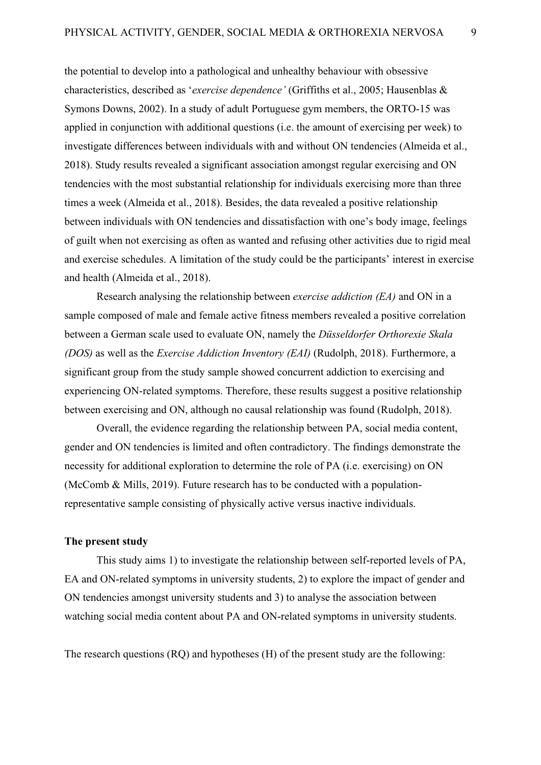the potential to develop into a pathological and unhealthy behaviour with obsessive characteristics, described as '*exercise dependence'* (Griffiths et al., 2005; Hausenblas & Symons Downs, 2002). In a study of adult Portuguese gym members, the ORTO-15 was applied in conjunction with additional questions (i.e. the amount of exercising per week) to investigate differences between individuals with and without ON tendencies (Almeida et al., 2018). Study results revealed a significant association amongst regular exercising and ON tendencies with the most substantial relationship for individuals exercising more than three times a week (Almeida et al., 2018). Besides, the data revealed a positive relationship between individuals with ON tendencies and dissatisfaction with one's body image, feelings of guilt when not exercising as often as wanted and refusing other activities due to rigid meal and exercise schedules. A limitation of the study could be the participants' interest in exercise and health (Almeida et al., 2018).

Research analysing the relationship between *exercise addiction (EA)* and ON in a sample composed of male and female active fitness members revealed a positive correlation between a German scale used to evaluate ON, namely the *Düsseldorfer Orthorexie Skala (DOS)* as well as the *Exercise Addiction Inventory (EAI)* (Rudolph, 2018). Furthermore, a significant group from the study sample showed concurrent addiction to exercising and experiencing ON-related symptoms. Therefore, these results suggest a positive relationship between exercising and ON, although no causal relationship was found (Rudolph, 2018).

Overall, the evidence regarding the relationship between PA, social media content, gender and ON tendencies is limited and often contradictory. The findings demonstrate the necessity for additional exploration to determine the role of PA (i.e. exercising) on ON (McComb & Mills, 2019). Future research has to be conducted with a populationrepresentative sample consisting of physically active versus inactive individuals.

#### <span id="page-8-0"></span>**The present study**

This study aims 1) to investigate the relationship between self-reported levels of PA, EA and ON-related symptoms in university students, 2) to explore the impact of gender and ON tendencies amongst university students and 3) to analyse the association between watching social media content about PA and ON-related symptoms in university students.

The research questions (RQ) and hypotheses (H) of the present study are the following: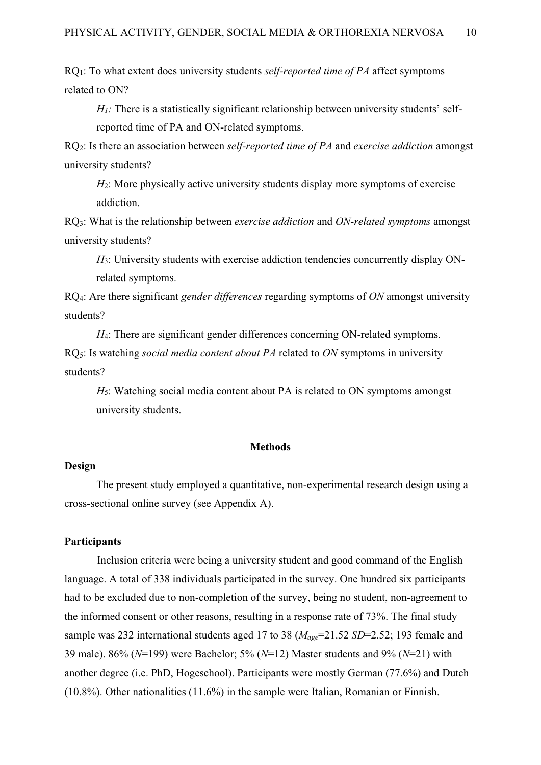RQ1: To what extent does university students *self-reported time of PA* affect symptoms related to ON?

 $H<sub>1</sub>$ : There is a statistically significant relationship between university students' selfreported time of PA and ON-related symptoms.

RQ2: Is there an association between *self-reported time of PA* and *exercise addiction* amongst university students?

*H*<sub>2</sub>: More physically active university students display more symptoms of exercise addiction.

RQ3: What is the relationship between *exercise addiction* and *ON-related symptoms* amongst university students?

*H*3: University students with exercise addiction tendencies concurrently display ONrelated symptoms.

RQ4: Are there significant *gender differences* regarding symptoms of *ON* amongst university students?

*H*<sub>4</sub>: There are significant gender differences concerning ON-related symptoms. RQ5: Is watching *social media content about PA* related to *ON* symptoms in university students?

*H*5: Watching social media content about PA is related to ON symptoms amongst university students.

#### **Methods**

## <span id="page-9-1"></span><span id="page-9-0"></span>**Design**

The present study employed a quantitative, non-experimental research design using a cross-sectional online survey (see Appendix A).

## <span id="page-9-2"></span>**Participants**

Inclusion criteria were being a university student and good command of the English language. A total of 338 individuals participated in the survey. One hundred six participants had to be excluded due to non-completion of the survey, being no student, non-agreement to the informed consent or other reasons, resulting in a response rate of 73%. The final study sample was 232 international students aged 17 to 38 (*Mage*=21.52 *SD*=2.52; 193 female and 39 male). 86% (*N*=199) were Bachelor; 5% (*N*=12) Master students and 9% (*N*=21) with another degree (i.e. PhD, Hogeschool). Participants were mostly German (77.6%) and Dutch (10.8%). Other nationalities (11.6%) in the sample were Italian, Romanian or Finnish.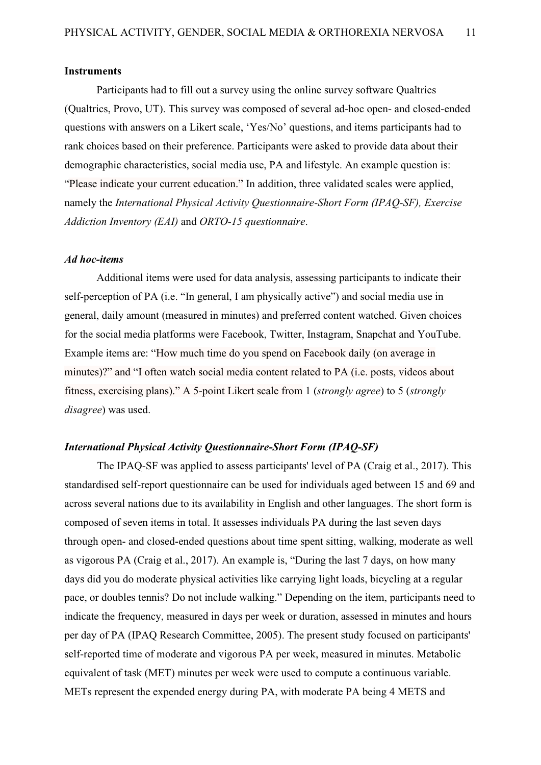#### <span id="page-10-0"></span>**Instruments**

Participants had to fill out a survey using the online survey software Qualtrics (Qualtrics, Provo, UT). This survey was composed of several ad-hoc open- and closed-ended questions with answers on a Likert scale, 'Yes/No' questions, and items participants had to rank choices based on their preference. Participants were asked to provide data about their demographic characteristics, social media use, PA and lifestyle. An example question is: "Please indicate your current education." In addition, three validated scales were applied, namely the *International Physical Activity Questionnaire-Short Form (IPAQ-SF), Exercise Addiction Inventory (EAI)* and *ORTO-15 questionnaire*.

#### *Ad hoc-items*

Additional items were used for data analysis, assessing participants to indicate their self-perception of PA (i.e. "In general, I am physically active") and social media use in general, daily amount (measured in minutes) and preferred content watched. Given choices for the social media platforms were Facebook, Twitter, Instagram, Snapchat and YouTube. Example items are: "How much time do you spend on Facebook daily (on average in minutes)?" and "I often watch social media content related to PA (i.e. posts, videos about fitness, exercising plans)." A 5-point Likert scale from 1 (*strongly agree*) to 5 (*strongly disagree*) was used.

## *International Physical Activity Questionnaire-Short Form (IPAQ-SF)*

The IPAQ-SF was applied to assess participants' level of PA (Craig et al., 2017). This standardised self-report questionnaire can be used for individuals aged between 15 and 69 and across several nations due to its availability in English and other languages. The short form is composed of seven items in total. It assesses individuals PA during the last seven days through open- and closed-ended questions about time spent sitting, walking, moderate as well as vigorous PA (Craig et al., 2017). An example is, "During the last 7 days, on how many days did you do moderate physical activities like carrying light loads, bicycling at a regular pace, or doubles tennis? Do not include walking." Depending on the item, participants need to indicate the frequency, measured in days per week or duration, assessed in minutes and hours per day of PA (IPAQ Research Committee, 2005). The present study focused on participants' self-reported time of moderate and vigorous PA per week, measured in minutes. Metabolic equivalent of task (MET) minutes per week were used to compute a continuous variable. METs represent the expended energy during PA, with moderate PA being 4 METS and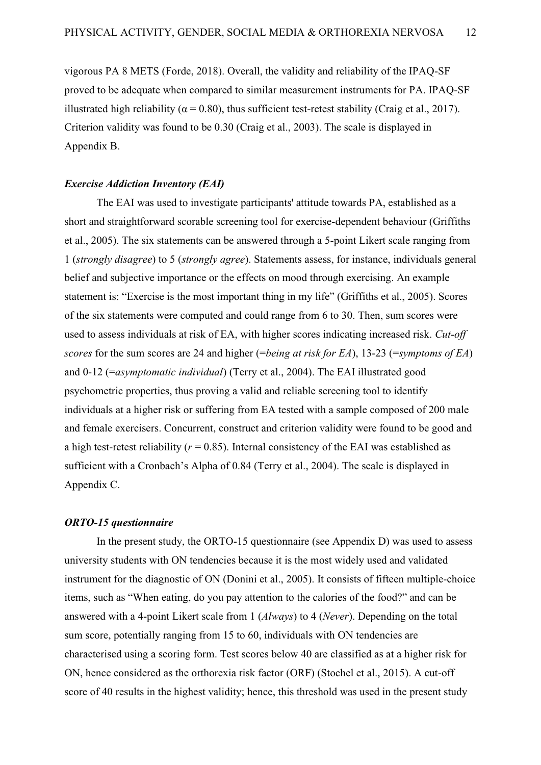vigorous PA 8 METS (Forde, 2018). Overall, the validity and reliability of the IPAQ-SF proved to be adequate when compared to similar measurement instruments for PA. IPAQ-SF illustrated high reliability ( $\alpha$  = 0.80), thus sufficient test-retest stability (Craig et al., 2017). Criterion validity was found to be 0.30 (Craig et al., 2003). The scale is displayed in Appendix B.

#### *Exercise Addiction Inventory (EAI)*

The EAI was used to investigate participants' attitude towards PA, established as a short and straightforward scorable screening tool for exercise-dependent behaviour (Griffiths et al., 2005). The six statements can be answered through a 5-point Likert scale ranging from 1 (*strongly disagree*) to 5 (*strongly agree*). Statements assess, for instance, individuals general belief and subjective importance or the effects on mood through exercising. An example statement is: "Exercise is the most important thing in my life" (Griffiths et al., 2005). Scores of the six statements were computed and could range from 6 to 30. Then, sum scores were used to assess individuals at risk of EA, with higher scores indicating increased risk. *Cut-off scores* for the sum scores are 24 and higher (=*being at risk for EA*), 13-23 (=*symptoms of EA*) and 0-12 (=*asymptomatic individual*) (Terry et al., 2004). The EAI illustrated good psychometric properties, thus proving a valid and reliable screening tool to identify individuals at a higher risk or suffering from EA tested with a sample composed of 200 male and female exercisers. Concurrent, construct and criterion validity were found to be good and a high test-retest reliability  $(r = 0.85)$ . Internal consistency of the EAI was established as sufficient with a Cronbach's Alpha of 0.84 (Terry et al., 2004). The scale is displayed in Appendix C.

#### *ORTO-15 questionnaire*

In the present study, the ORTO-15 questionnaire (see Appendix D) was used to assess university students with ON tendencies because it is the most widely used and validated instrument for the diagnostic of ON (Donini et al., 2005). It consists of fifteen multiple-choice items, such as "When eating, do you pay attention to the calories of the food?" and can be answered with a 4-point Likert scale from 1 (*Always*) to 4 (*Never*). Depending on the total sum score, potentially ranging from 15 to 60, individuals with ON tendencies are characterised using a scoring form. Test scores below 40 are classified as at a higher risk for ON, hence considered as the orthorexia risk factor (ORF) (Stochel et al., 2015). A cut-off score of 40 results in the highest validity; hence, this threshold was used in the present study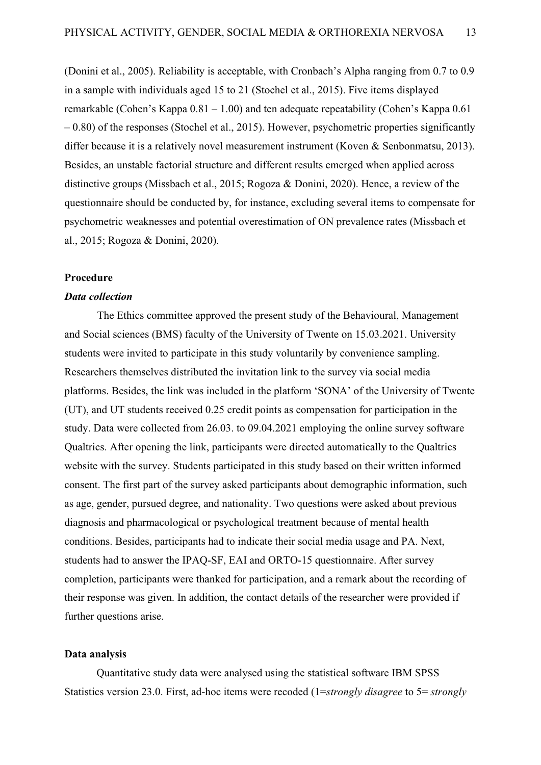(Donini et al., 2005). Reliability is acceptable, with Cronbach's Alpha ranging from 0.7 to 0.9 in a sample with individuals aged 15 to 21 (Stochel et al., 2015). Five items displayed remarkable (Cohen's Kappa 0.81 – 1.00) and ten adequate repeatability (Cohen's Kappa 0.61 – 0.80) of the responses (Stochel et al., 2015). However, psychometric properties significantly differ because it is a relatively novel measurement instrument (Koven & Senbonmatsu, 2013). Besides, an unstable factorial structure and different results emerged when applied across distinctive groups (Missbach et al., 2015; Rogoza & Donini, 2020). Hence, a review of the questionnaire should be conducted by, for instance, excluding several items to compensate for psychometric weaknesses and potential overestimation of ON prevalence rates (Missbach et al., 2015; Rogoza & Donini, 2020).

#### <span id="page-12-0"></span>**Procedure**

#### *Data collection*

The Ethics committee approved the present study of the Behavioural, Management and Social sciences (BMS) faculty of the University of Twente on 15.03.2021. University students were invited to participate in this study voluntarily by convenience sampling. Researchers themselves distributed the invitation link to the survey via social media platforms. Besides, the link was included in the platform 'SONA' of the University of Twente (UT), and UT students received 0.25 credit points as compensation for participation in the study. Data were collected from 26.03. to 09.04.2021 employing the online survey software Qualtrics. After opening the link, participants were directed automatically to the Qualtrics website with the survey. Students participated in this study based on their written informed consent. The first part of the survey asked participants about demographic information, such as age, gender, pursued degree, and nationality. Two questions were asked about previous diagnosis and pharmacological or psychological treatment because of mental health conditions. Besides, participants had to indicate their social media usage and PA. Next, students had to answer the IPAQ-SF, EAI and ORTO-15 questionnaire. After survey completion, participants were thanked for participation, and a remark about the recording of their response was given. In addition, the contact details of the researcher were provided if further questions arise.

#### <span id="page-12-1"></span>**Data analysis**

Quantitative study data were analysed using the statistical software IBM SPSS Statistics version 23.0. First, ad-hoc items were recoded (1=*strongly disagree* to 5= *strongly*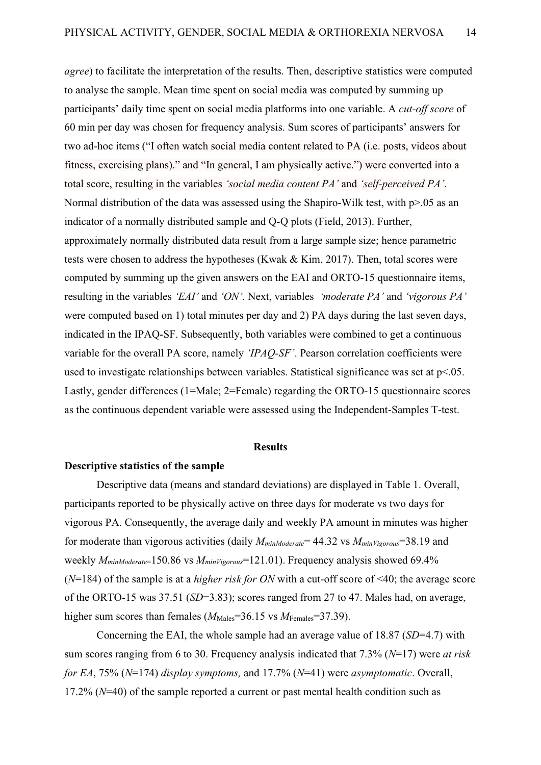*agree*) to facilitate the interpretation of the results. Then, descriptive statistics were computed to analyse the sample. Mean time spent on social media was computed by summing up participants' daily time spent on social media platforms into one variable. A *cut-off score* of 60 min per day was chosen for frequency analysis. Sum scores of participants' answers for two ad-hoc items ("I often watch social media content related to PA (i.e. posts, videos about fitness, exercising plans)." and "In general, I am physically active.") were converted into a total score, resulting in the variables *'social media content PA'* and *'self-perceived PA'*. Normal distribution of the data was assessed using the Shapiro-Wilk test, with  $p>0.05$  as an indicator of a normally distributed sample and Q-Q plots (Field, 2013). Further, approximately normally distributed data result from a large sample size; hence parametric tests were chosen to address the hypotheses (Kwak & Kim, 2017). Then, total scores were computed by summing up the given answers on the EAI and ORTO-15 questionnaire items, resulting in the variables *'EAI'* and *'ON'.* Next, variables *'moderate PA'* and *'vigorous PA'* were computed based on 1) total minutes per day and 2) PA days during the last seven days, indicated in the IPAQ-SF. Subsequently, both variables were combined to get a continuous variable for the overall PA score, namely *'IPAQ-SF'*. Pearson correlation coefficients were used to investigate relationships between variables. Statistical significance was set at  $p<05$ . Lastly, gender differences (1=Male; 2=Female) regarding the ORTO-15 questionnaire scores as the continuous dependent variable were assessed using the Independent-Samples T-test.

#### **Results**

#### <span id="page-13-1"></span><span id="page-13-0"></span>**Descriptive statistics of the sample**

Descriptive data (means and standard deviations) are displayed in Table 1. Overall, participants reported to be physically active on three days for moderate vs two days for vigorous PA. Consequently, the average daily and weekly PA amount in minutes was higher for moderate than vigorous activities (daily *MminModerate*= 44.32 vs *MminVigorous*=38.19 and weekly *MminModerate*=150.86 vs *MminVigorous*=121.01). Frequency analysis showed 69.4% (*N*=184) of the sample is at a *higher risk for ON* with a cut-off score of <40; the average score of the ORTO-15 was 37.51 (*SD*=3.83); scores ranged from 27 to 47. Males had, on average, higher sum scores than females ( $M_{\text{Males}}$ =36.15 vs  $M_{\text{Females}}$ =37.39).

Concerning the EAI, the whole sample had an average value of 18.87 (*SD*=4.7) with sum scores ranging from 6 to 30. Frequency analysis indicated that 7.3% (*N*=17) were *at risk for EA*, 75% (*N*=174) *display symptoms,* and 17.7% (*N*=41) were *asymptomatic*. Overall, 17.2% (*N*=40) of the sample reported a current or past mental health condition such as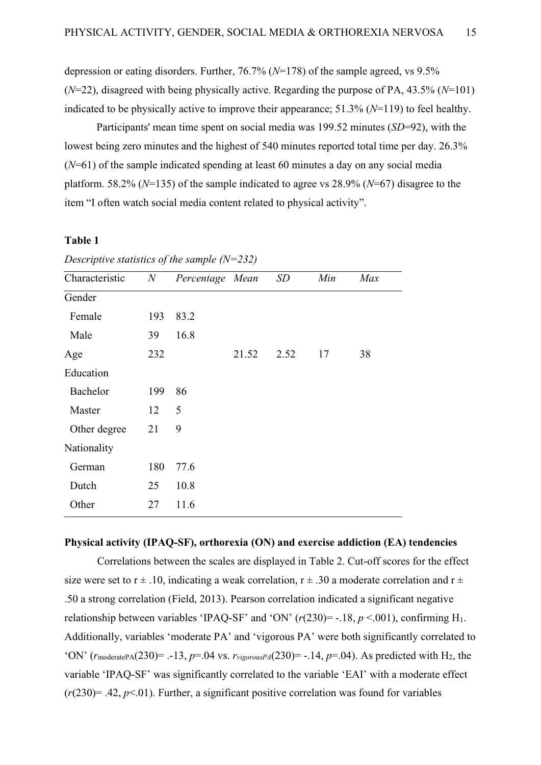depression or eating disorders. Further, 76.7% (*N*=178) of the sample agreed, vs 9.5% (*N*=22), disagreed with being physically active. Regarding the purpose of PA, 43.5% (*N*=101) indicated to be physically active to improve their appearance; 51.3% (*N*=119) to feel healthy.

Participants' mean time spent on social media was 199.52 minutes (*SD*=92), with the lowest being zero minutes and the highest of 540 minutes reported total time per day. 26.3% (*N*=61) of the sample indicated spending at least 60 minutes a day on any social media platform. 58.2% (*N*=135) of the sample indicated to agree vs 28.9% (*N*=67) disagree to the item "I often watch social media content related to physical activity".

#### **Table 1**

| Characteristic  | $N_{\rm}$ | Percentage Mean |       | SD   | Min | Max |
|-----------------|-----------|-----------------|-------|------|-----|-----|
| Gender          |           |                 |       |      |     |     |
| Female          | 193       | 83.2            |       |      |     |     |
| Male            | 39        | 16.8            |       |      |     |     |
| Age             | 232       |                 | 21.52 | 2.52 | 17  | 38  |
| Education       |           |                 |       |      |     |     |
| <b>Bachelor</b> | 199       | 86              |       |      |     |     |
| Master          | 12        | 5               |       |      |     |     |
| Other degree    | 21        | 9               |       |      |     |     |
| Nationality     |           |                 |       |      |     |     |
| German          | 180       | 77.6            |       |      |     |     |
| Dutch           | 25        | 10.8            |       |      |     |     |
| Other           | 27        | 11.6            |       |      |     |     |

*Descriptive statistics of the sample (N=232)* 

## <span id="page-14-0"></span>**Physical activity (IPAQ-SF), orthorexia (ON) and exercise addiction (EA) tendencies**

Correlations between the scales are displayed in Table 2. Cut-off scores for the effect size were set to  $r \pm .10$ , indicating a weak correlation,  $r \pm .30$  a moderate correlation and  $r \pm$ .50 a strong correlation (Field, 2013). Pearson correlation indicated a significant negative relationship between variables 'IPAQ-SF' and 'ON'  $(r(230) = -.18, p < .001)$ , confirming H<sub>1</sub>. Additionally, variables 'moderate PA' and 'vigorous PA' were both significantly correlated to 'ON' ( $r_{\text{moderatePA}}(230)$ = .-13,  $p=0.04$  vs.  $r_{\text{vigorousPA}}(230)$ = -.14,  $p=0.04$ ). As predicted with H<sub>2</sub>, the variable 'IPAQ-SF' was significantly correlated to the variable 'EAI' with a moderate effect  $(r(230)=.42, p<.01)$ . Further, a significant positive correlation was found for variables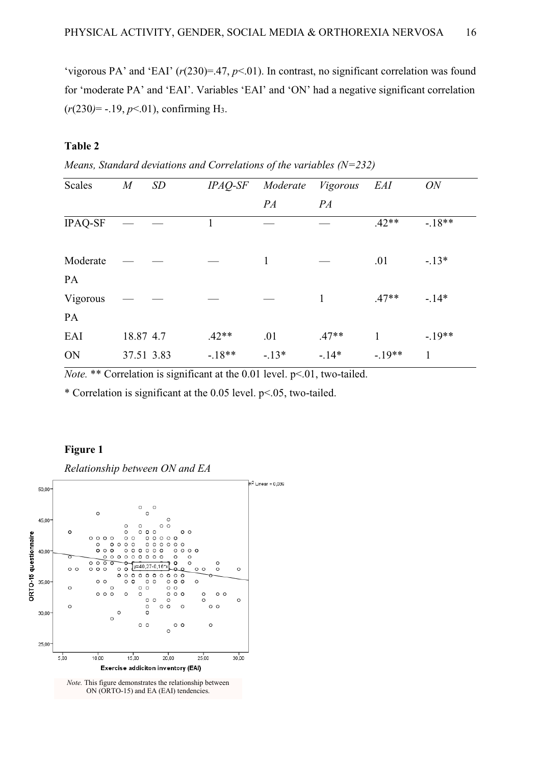'vigorous PA' and 'EAI' (*r*(230)=.47, *p*<.01). In contrast, no significant correlation was found for 'moderate PA' and 'EAI'. Variables 'EAI' and 'ON' had a negative significant correlation (*r*(230*)*= -.19, *p*<.01), confirming H3.

## **Table 2**

*Means, Standard deviations and Correlations of the variables (N=232)*

| <b>Scales</b>  | $\overline{M}$ | <b>SD</b> | $IPAQ$ -SF | Moderate     | Vigorous | EAI     | ON           |
|----------------|----------------|-----------|------------|--------------|----------|---------|--------------|
|                |                |           |            | PA           | PA       |         |              |
| <b>IPAQ-SF</b> |                |           |            |              |          | $.42**$ | $-.18**$     |
| Moderate       |                |           |            | $\mathbf{1}$ |          | .01     | $-.13*$      |
| <b>PA</b>      |                |           |            |              |          |         |              |
| Vigorous       |                |           |            |              | 1        | $.47**$ | $-14*$       |
| PA             |                |           |            |              |          |         |              |
| EAI            | 18.87 4.7      |           | $.42**$    | .01          | $.47**$  | 1       | $-19**$      |
| ON             | 37.51 3.83     |           | $-18**$    | $-.13*$      | $-.14*$  | $-19**$ | $\mathbf{1}$ |

*Note.* \*\* Correlation is significant at the 0.01 level. p<.01, two-tailed.

\* Correlation is significant at the 0.05 level. p<.05, two-tailed.

## **Figure 1**

*Relationship between ON and EA*



*Note.* This figure demonstrates the relationship between ON (ORTO-15) and EA (EAI) tendencies.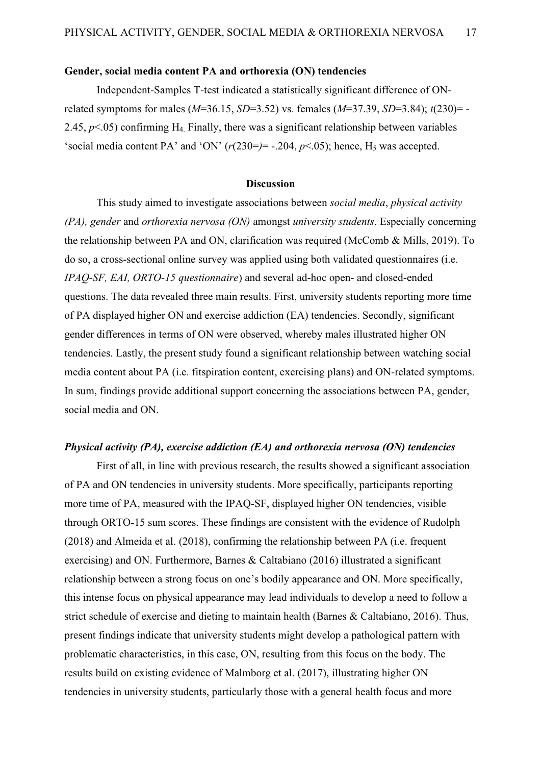#### <span id="page-16-0"></span>**Gender, social media content PA and orthorexia (ON) tendencies**

Independent-Samples T-test indicated a statistically significant difference of ONrelated symptoms for males (*M*=36.15, *SD*=3.52) vs. females (*M*=37.39, *SD*=3.84); *t*(230)= - 2.45, *p*<.05) confirming H4. Finally, there was a significant relationship between variables 'social media content PA' and 'ON'  $(r(230=)=-.204, p<.05)$ ; hence, H<sub>5</sub> was accepted.

#### **Discussion**

<span id="page-16-1"></span>This study aimed to investigate associations between *social media*, *physical activity (PA), gender* and *orthorexia nervosa (ON)* amongst *university students*. Especially concerning the relationship between PA and ON, clarification was required (McComb & Mills, 2019). To do so, a cross-sectional online survey was applied using both validated questionnaires (i.e. *IPAQ-SF, EAI, ORTO-15 questionnaire*) and several ad-hoc open- and closed-ended questions. The data revealed three main results. First, university students reporting more time of PA displayed higher ON and exercise addiction (EA) tendencies. Secondly, significant gender differences in terms of ON were observed, whereby males illustrated higher ON tendencies. Lastly, the present study found a significant relationship between watching social media content about PA (i.e. fitspiration content, exercising plans) and ON-related symptoms. In sum, findings provide additional support concerning the associations between PA, gender, social media and ON.

#### *Physical activity (PA), exercise addiction (EA) and orthorexia nervosa (ON) tendencies*

First of all, in line with previous research, the results showed a significant association of PA and ON tendencies in university students. More specifically, participants reporting more time of PA, measured with the IPAQ-SF, displayed higher ON tendencies, visible through ORTO-15 sum scores. These findings are consistent with the evidence of Rudolph (2018) and Almeida et al. (2018), confirming the relationship between PA (i.e. frequent exercising) and ON. Furthermore, Barnes & Caltabiano (2016) illustrated a significant relationship between a strong focus on one's bodily appearance and ON. More specifically, this intense focus on physical appearance may lead individuals to develop a need to follow a strict schedule of exercise and dieting to maintain health (Barnes & Caltabiano, 2016). Thus, present findings indicate that university students might develop a pathological pattern with problematic characteristics, in this case, ON, resulting from this focus on the body. The results build on existing evidence of Malmborg et al. (2017), illustrating higher ON tendencies in university students, particularly those with a general health focus and more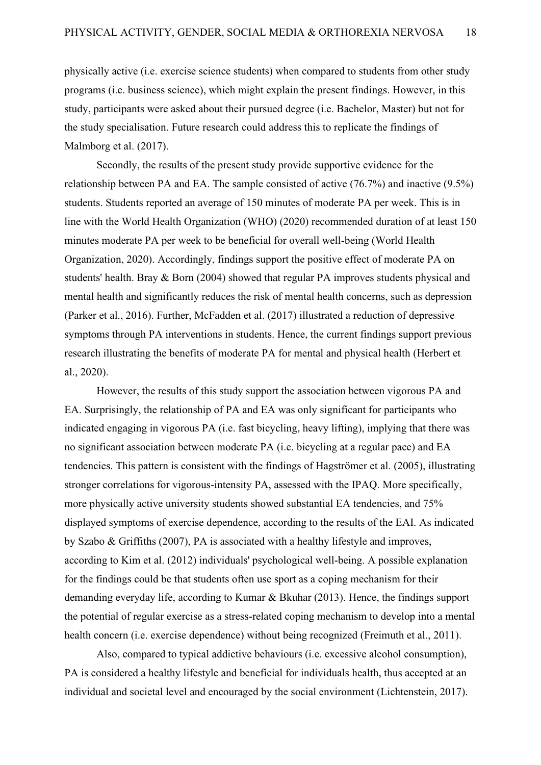physically active (i.e. exercise science students) when compared to students from other study programs (i.e. business science), which might explain the present findings. However, in this study, participants were asked about their pursued degree (i.e. Bachelor, Master) but not for the study specialisation. Future research could address this to replicate the findings of Malmborg et al. (2017).

Secondly, the results of the present study provide supportive evidence for the relationship between PA and EA. The sample consisted of active (76.7%) and inactive (9.5%) students. Students reported an average of 150 minutes of moderate PA per week. This is in line with the World Health Organization (WHO) (2020) recommended duration of at least 150 minutes moderate PA per week to be beneficial for overall well-being (World Health Organization, 2020). Accordingly, findings support the positive effect of moderate PA on students' health. Bray & Born (2004) showed that regular PA improves students physical and mental health and significantly reduces the risk of mental health concerns, such as depression (Parker et al., 2016). Further, McFadden et al. (2017) illustrated a reduction of depressive symptoms through PA interventions in students. Hence, the current findings support previous research illustrating the benefits of moderate PA for mental and physical health (Herbert et al., 2020).

However, the results of this study support the association between vigorous PA and EA. Surprisingly, the relationship of PA and EA was only significant for participants who indicated engaging in vigorous PA (i.e. fast bicycling, heavy lifting), implying that there was no significant association between moderate PA (i.e. bicycling at a regular pace) and EA tendencies. This pattern is consistent with the findings of Hagströmer et al. (2005), illustrating stronger correlations for vigorous-intensity PA, assessed with the IPAQ. More specifically, more physically active university students showed substantial EA tendencies, and 75% displayed symptoms of exercise dependence, according to the results of the EAI. As indicated by Szabo & Griffiths (2007), PA is associated with a healthy lifestyle and improves, according to Kim et al. (2012) individuals' psychological well-being. A possible explanation for the findings could be that students often use sport as a coping mechanism for their demanding everyday life, according to Kumar & Bkuhar (2013). Hence, the findings support the potential of regular exercise as a stress-related coping mechanism to develop into a mental health concern (i.e. exercise dependence) without being recognized (Freimuth et al., 2011).

Also, compared to typical addictive behaviours (i.e. excessive alcohol consumption), PA is considered a healthy lifestyle and beneficial for individuals health, thus accepted at an individual and societal level and encouraged by the social environment (Lichtenstein, 2017).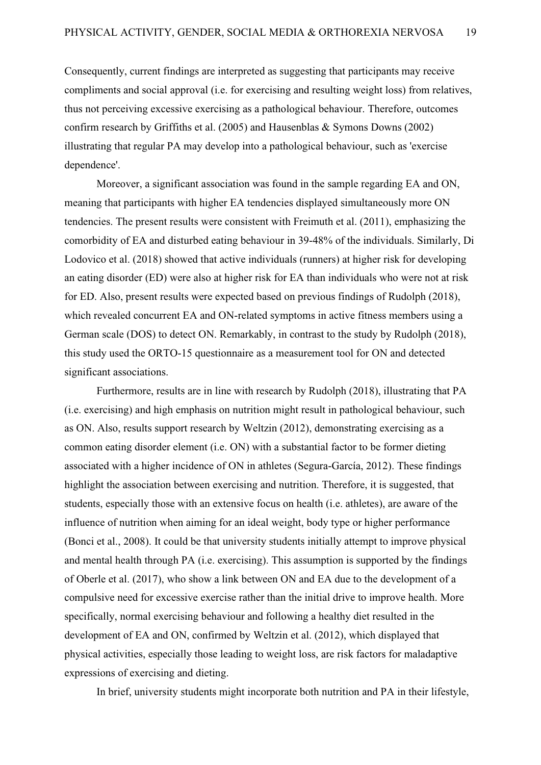Consequently, current findings are interpreted as suggesting that participants may receive compliments and social approval (i.e. for exercising and resulting weight loss) from relatives, thus not perceiving excessive exercising as a pathological behaviour. Therefore, outcomes confirm research by Griffiths et al. (2005) and Hausenblas & Symons Downs (2002) illustrating that regular PA may develop into a pathological behaviour, such as 'exercise dependence'.

Moreover, a significant association was found in the sample regarding EA and ON, meaning that participants with higher EA tendencies displayed simultaneously more ON tendencies. The present results were consistent with Freimuth et al. (2011), emphasizing the comorbidity of EA and disturbed eating behaviour in 39-48% of the individuals. Similarly, Di Lodovico et al. (2018) showed that active individuals (runners) at higher risk for developing an eating disorder (ED) were also at higher risk for EA than individuals who were not at risk for ED. Also, present results were expected based on previous findings of Rudolph (2018), which revealed concurrent EA and ON-related symptoms in active fitness members using a German scale (DOS) to detect ON. Remarkably, in contrast to the study by Rudolph (2018), this study used the ORTO-15 questionnaire as a measurement tool for ON and detected significant associations.

Furthermore, results are in line with research by Rudolph (2018), illustrating that PA (i.e. exercising) and high emphasis on nutrition might result in pathological behaviour, such as ON. Also, results support research by Weltzin (2012), demonstrating exercising as a common eating disorder element (i.e. ON) with a substantial factor to be former dieting associated with a higher incidence of ON in athletes (Segura-García, 2012). These findings highlight the association between exercising and nutrition. Therefore, it is suggested, that students, especially those with an extensive focus on health (i.e. athletes), are aware of the influence of nutrition when aiming for an ideal weight, body type or higher performance (Bonci et al., 2008). It could be that university students initially attempt to improve physical and mental health through PA (i.e. exercising). This assumption is supported by the findings of Oberle et al. (2017), who show a link between ON and EA due to the development of a compulsive need for excessive exercise rather than the initial drive to improve health. More specifically, normal exercising behaviour and following a healthy diet resulted in the development of EA and ON, confirmed by Weltzin et al. (2012), which displayed that physical activities, especially those leading to weight loss, are risk factors for maladaptive expressions of exercising and dieting.

In brief, university students might incorporate both nutrition and PA in their lifestyle,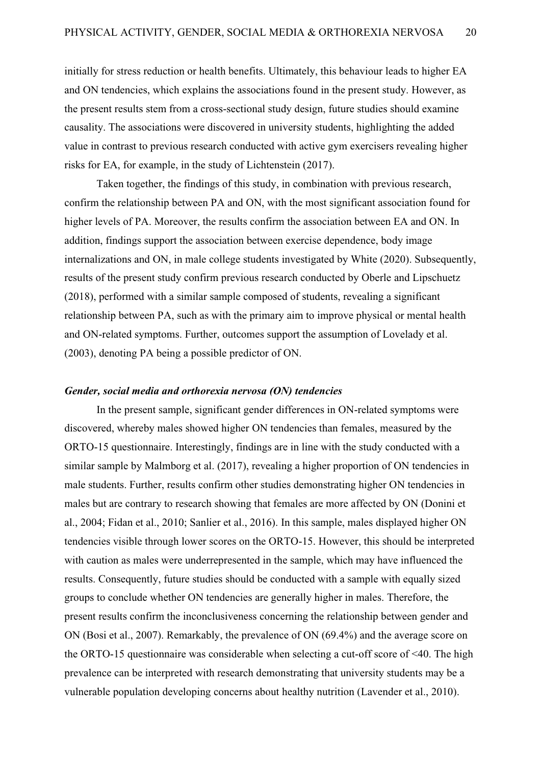initially for stress reduction or health benefits. Ultimately, this behaviour leads to higher EA and ON tendencies, which explains the associations found in the present study. However, as the present results stem from a cross-sectional study design, future studies should examine causality. The associations were discovered in university students, highlighting the added value in contrast to previous research conducted with active gym exercisers revealing higher risks for EA, for example, in the study of Lichtenstein (2017).

Taken together, the findings of this study, in combination with previous research, confirm the relationship between PA and ON, with the most significant association found for higher levels of PA. Moreover, the results confirm the association between EA and ON. In addition, findings support the association between exercise dependence, body image internalizations and ON, in male college students investigated by White (2020). Subsequently, results of the present study confirm previous research conducted by Oberle and Lipschuetz (2018), performed with a similar sample composed of students, revealing a significant relationship between PA, such as with the primary aim to improve physical or mental health and ON-related symptoms. Further, outcomes support the assumption of Lovelady et al. (2003), denoting PA being a possible predictor of ON.

#### *Gender, social media and orthorexia nervosa (ON) tendencies*

In the present sample, significant gender differences in ON-related symptoms were discovered, whereby males showed higher ON tendencies than females, measured by the ORTO-15 questionnaire. Interestingly, findings are in line with the study conducted with a similar sample by Malmborg et al. (2017), revealing a higher proportion of ON tendencies in male students. Further, results confirm other studies demonstrating higher ON tendencies in males but are contrary to research showing that females are more affected by ON (Donini et al., 2004; Fidan et al., 2010; Sanlier et al., 2016). In this sample, males displayed higher ON tendencies visible through lower scores on the ORTO-15. However, this should be interpreted with caution as males were underrepresented in the sample, which may have influenced the results. Consequently, future studies should be conducted with a sample with equally sized groups to conclude whether ON tendencies are generally higher in males. Therefore, the present results confirm the inconclusiveness concerning the relationship between gender and ON (Bosi et al., 2007). Remarkably, the prevalence of ON (69.4%) and the average score on the ORTO-15 questionnaire was considerable when selecting a cut-off score of <40. The high prevalence can be interpreted with research demonstrating that university students may be a vulnerable population developing concerns about healthy nutrition [\(Lavender et al., 2010\)](https://www.sciencedirect.com/science/article/pii/S1740144519304358?casa_token=jIlYySIk4DEAAAAA:xkiNrM76ArOL7ogHjeRCAV1HeAVKVKCry2e1bQsBtUQUDgW2ruDIXfM-IwGjTjlVR6wh8J117w#bib0085).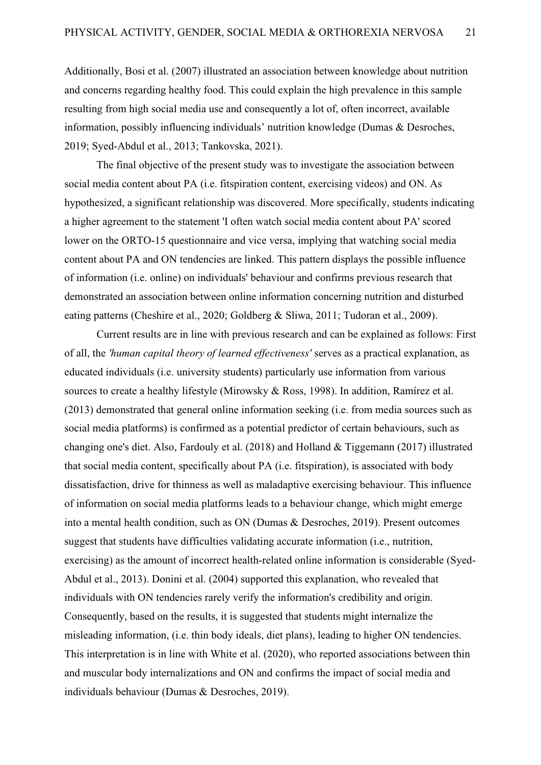Additionally, Bosi et al. (2007) illustrated an association between knowledge about nutrition and concerns regarding healthy food. This could explain the high prevalence in this sample resulting from high social media use and consequently a lot of, often incorrect, available information, possibly influencing individuals' nutrition knowledge (Dumas & Desroches, 2019; Syed-Abdul et al., 2013; Tankovska, 2021).

The final objective of the present study was to investigate the association between social media content about PA (i.e. fitspiration content, exercising videos) and ON. As hypothesized, a significant relationship was discovered. More specifically, students indicating a higher agreement to the statement 'I often watch social media content about PA' scored lower on the ORTO-15 questionnaire and vice versa, implying that watching social media content about PA and ON tendencies are linked. This pattern displays the possible influence of information (i.e. online) on individuals' behaviour and confirms previous research that demonstrated an association between online information concerning nutrition and disturbed eating patterns (Cheshire et al., 2020; Goldberg & Sliwa, 2011; Tudoran et al., 2009).

Current results are in line with previous research and can be explained as follows: First of all, the *'human capital theory of learned effectiveness'* serves as a practical explanation, as educated individuals (i.e. university students) particularly use information from various sources to create a healthy lifestyle (Mirowsky & Ross, 1998). In addition, Ramírez et al. (2013) demonstrated that general online information seeking (i.e. from media sources such as social media platforms) is confirmed as a potential predictor of certain behaviours, such as changing one's diet. Also, Fardouly et al. (2018) and Holland & Tiggemann (2017) illustrated that social media content, specifically about PA (i.e. fitspiration), is associated with body dissatisfaction, drive for thinness as well as maladaptive exercising behaviour. This influence of information on social media platforms leads to a behaviour change, which might emerge into a mental health condition, such as ON (Dumas & Desroches, 2019). Present outcomes suggest that students have difficulties validating accurate information (i.e., nutrition, exercising) as the amount of incorrect health-related online information is considerable (Syed-Abdul et al., 2013). Donini et al. (2004) supported this explanation, who revealed that individuals with ON tendencies rarely verify the information's credibility and origin. Consequently, based on the results, it is suggested that students might internalize the misleading information, (i.e. thin body ideals, diet plans), leading to higher ON tendencies. This interpretation is in line with White et al. (2020), who reported associations between thin and muscular body internalizations and ON and confirms the impact of social media and individuals behaviour (Dumas & Desroches, 2019).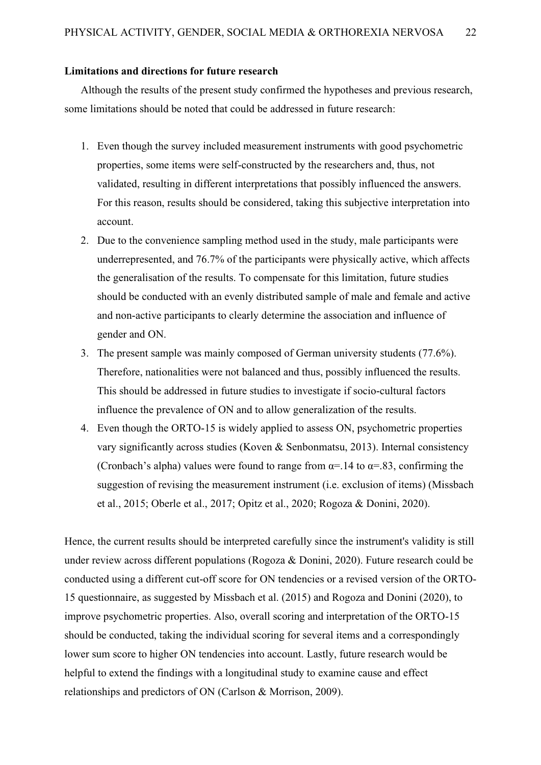#### <span id="page-21-0"></span>**Limitations and directions for future research**

Although the results of the present study confirmed the hypotheses and previous research, some limitations should be noted that could be addressed in future research:

- 1. Even though the survey included measurement instruments with good psychometric properties, some items were self-constructed by the researchers and, thus, not validated, resulting in different interpretations that possibly influenced the answers. For this reason, results should be considered, taking this subjective interpretation into account.
- 2. Due to the convenience sampling method used in the study, male participants were underrepresented, and 76.7% of the participants were physically active, which affects the generalisation of the results. To compensate for this limitation, future studies should be conducted with an evenly distributed sample of male and female and active and non-active participants to clearly determine the association and influence of gender and ON.
- 3. The present sample was mainly composed of German university students (77.6%). Therefore, nationalities were not balanced and thus, possibly influenced the results. This should be addressed in future studies to investigate if socio-cultural factors influence the prevalence of ON and to allow generalization of the results.
- 4. Even though the ORTO-15 is widely applied to assess ON, psychometric properties vary significantly across studies (Koven & Senbonmatsu, 2013). Internal consistency (Cronbach's alpha) values were found to range from  $\alpha$ =.14 to  $\alpha$ =.83, confirming the suggestion of revising the measurement instrument (i.e. exclusion of items) (Missbach et al., 2015; Oberle et al., 2017; Opitz et al., 2020; Rogoza & Donini, 2020).

Hence, the current results should be interpreted carefully since the instrument's validity is still under review across different populations (Rogoza & Donini, 2020). Future research could be conducted using a different cut-off score for ON tendencies or a revised version of the ORTO-15 questionnaire, as suggested by Missbach et al. (2015) and Rogoza and Donini (2020), to improve psychometric properties. Also, overall scoring and interpretation of the ORTO-15 should be conducted, taking the individual scoring for several items and a correspondingly lower sum score to higher ON tendencies into account. Lastly, future research would be helpful to extend the findings with a longitudinal study to examine cause and effect relationships and predictors of ON (Carlson & Morrison, 2009).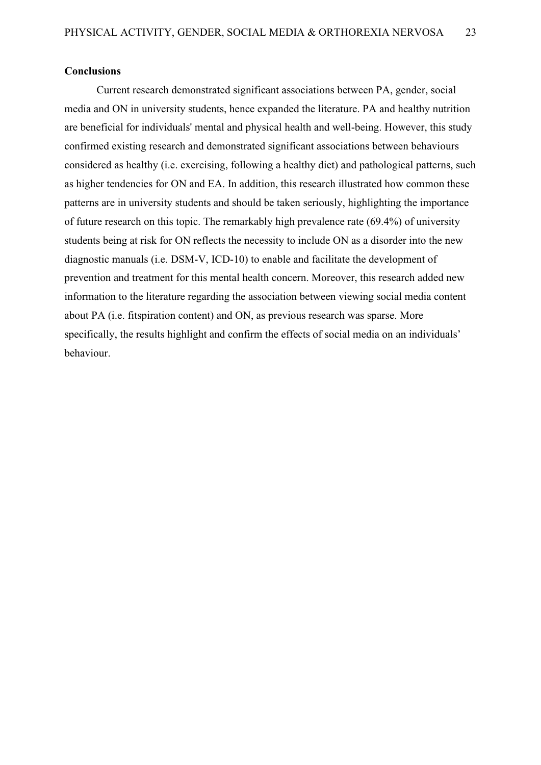#### <span id="page-22-0"></span>**Conclusions**

Current research demonstrated significant associations between PA, gender, social media and ON in university students, hence expanded the literature. PA and healthy nutrition are beneficial for individuals' mental and physical health and well-being. However, this study confirmed existing research and demonstrated significant associations between behaviours considered as healthy (i.e. exercising, following a healthy diet) and pathological patterns, such as higher tendencies for ON and EA. In addition, this research illustrated how common these patterns are in university students and should be taken seriously, highlighting the importance of future research on this topic. The remarkably high prevalence rate (69.4%) of university students being at risk for ON reflects the necessity to include ON as a disorder into the new diagnostic manuals (i.e. DSM-V, ICD-10) to enable and facilitate the development of prevention and treatment for this mental health concern. Moreover, this research added new information to the literature regarding the association between viewing social media content about PA (i.e. fitspiration content) and ON, as previous research was sparse. More specifically, the results highlight and confirm the effects of social media on an individuals' behaviour.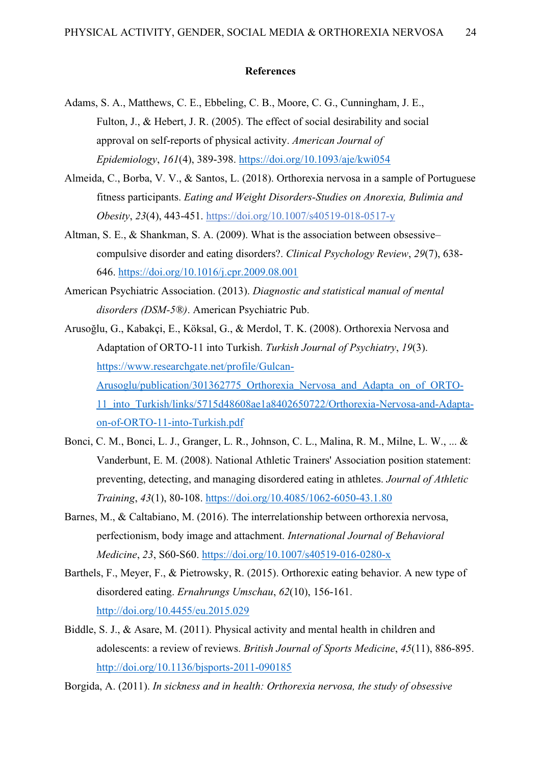#### **References**

- <span id="page-23-0"></span>Adams, S. A., Matthews, C. E., Ebbeling, C. B., Moore, C. G., Cunningham, J. E., Fulton, J., & Hebert, J. R. (2005). The effect of social desirability and social approval on self-reports of physical activity. *American Journal of Epidemiology*, *161*(4), 389-398.<https://doi.org/10.1093/aje/kwi054>
- Almeida, C., Borba, V. V., & Santos, L. (2018). Orthorexia nervosa in a sample of Portuguese fitness participants. *Eating and Weight Disorders-Studies on Anorexia, Bulimia and Obesity*, *23*(4), 443-451.<https://doi.org/10.1007/s40519-018-0517-y>
- Altman, S. E., & Shankman, S. A. (2009). What is the association between obsessive– compulsive disorder and eating disorders?. *Clinical Psychology Review*, *29*(7), 638- 646.<https://doi.org/10.1016/j.cpr.2009.08.001>
- American Psychiatric Association. (2013). *Diagnostic and statistical manual of mental disorders (DSM-5®)*. American Psychiatric Pub.
- Arusoğlu, G., Kabakçi, E., Köksal, G., & Merdol, T. K. (2008). Orthorexia Nervosa and Adaptation of ORTO-11 into Turkish. *Turkish Journal of Psychiatry*, *19*(3). [https://www.researchgate.net/profile/Gulcan-](https://www.researchgate.net/profile/Gulcan-%20Arusoglu/publication/301362775_Orthorexia_Nervosa_and_Adapta_on_of_ORTO-11_into_Turkish/links/5715d48608ae1a8402650722/Orthorexia-Nervosa-and-Adapta-on-of-ORTO-11-into-Turkish.pdf)[Arusoglu/publication/301362775\\_Orthorexia\\_Nervosa\\_and\\_Adapta\\_on\\_of\\_ORTO-](https://www.researchgate.net/profile/Gulcan-%20Arusoglu/publication/301362775_Orthorexia_Nervosa_and_Adapta_on_of_ORTO-11_into_Turkish/links/5715d48608ae1a8402650722/Orthorexia-Nervosa-and-Adapta-on-of-ORTO-11-into-Turkish.pdf)[11\\_into\\_Turkish/links/5715d48608ae1a8402650722/Orthorexia-Nervosa-and-Adapta](https://www.researchgate.net/profile/Gulcan-%20Arusoglu/publication/301362775_Orthorexia_Nervosa_and_Adapta_on_of_ORTO-11_into_Turkish/links/5715d48608ae1a8402650722/Orthorexia-Nervosa-and-Adapta-on-of-ORTO-11-into-Turkish.pdf)[on-of-ORTO-11-into-Turkish.pdf](https://www.researchgate.net/profile/Gulcan-%20Arusoglu/publication/301362775_Orthorexia_Nervosa_and_Adapta_on_of_ORTO-11_into_Turkish/links/5715d48608ae1a8402650722/Orthorexia-Nervosa-and-Adapta-on-of-ORTO-11-into-Turkish.pdf)
- Bonci, C. M., Bonci, L. J., Granger, L. R., Johnson, C. L., Malina, R. M., Milne, L. W., ... & Vanderbunt, E. M. (2008). National Athletic Trainers' Association position statement: preventing, detecting, and managing disordered eating in athletes. *Journal of Athletic Training*, *43*(1), 80-108.<https://doi.org/10.4085/1062-6050-43.1.80>
- Barnes, M., & Caltabiano, M. (2016). The interrelationship between orthorexia nervosa, perfectionism, body image and attachment. *International Journal of Behavioral Medicine*, *23*, S60-S60.<https://doi.org/10.1007/s40519-016-0280-x>
- Barthels, F., Meyer, F., & Pietrowsky, R. (2015). Orthorexic eating behavior. A new type of disordered eating. *Ernahrungs Umschau*, *62*(10), 156-161. <http://doi.org/10.4455/eu.2015.029>
- Biddle, S. J., & Asare, M. (2011). Physical activity and mental health in children and adolescents: a review of reviews. *British Journal of Sports Medicine*, *45*(11), 886-895. <http://doi.org/10.1136/bjsports-2011-090185>
- Borgida, A. (2011). *In sickness and in health: Orthorexia nervosa, the study of obsessive*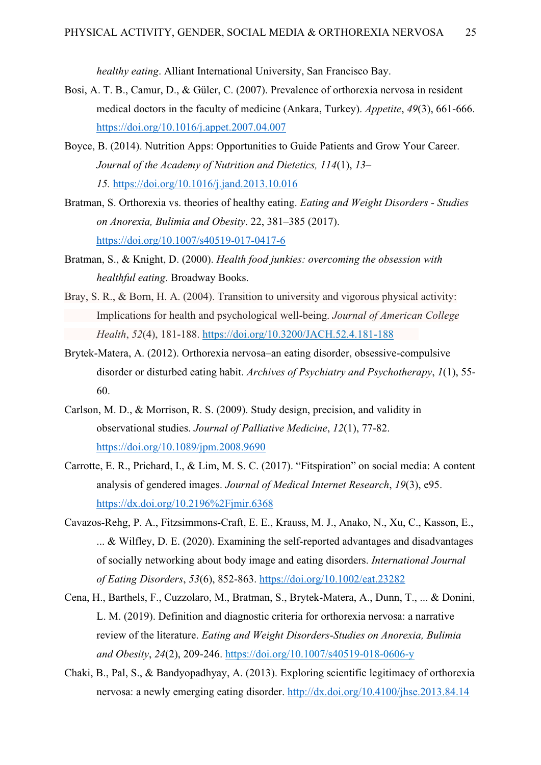*healthy eating*. Alliant International University, San Francisco Bay.

- Bosi, A. T. B., Camur, D., & Güler, C. (2007). Prevalence of orthorexia nervosa in resident medical doctors in the faculty of medicine (Ankara, Turkey). *Appetite*, *49*(3), 661-666. <https://doi.org/10.1016/j.appet.2007.04.007>
- Boyce, B. (2014). Nutrition Apps: Opportunities to Guide Patients and Grow Your Career. *Journal of the Academy of Nutrition and Dietetics, 114*(1), *13–*

*15.* <https://doi.org/10.1016/j.jand.2013.10.016>

- Bratman, S. Orthorexia vs. theories of healthy eating. *[Eating and Weight Disorders -](https://link.springer.com/journal/40519) Studies [on Anorexia, Bulimia and Obesity](https://link.springer.com/journal/40519)*. 22, 381–385 (2017). <https://doi.org/10.1007/s40519-017-0417-6>
- Bratman, S., & Knight, D. (2000). *Health food junkies: overcoming the obsession with healthful eating*. Broadway Books.
- Bray, S. R., & Born, H. A. (2004). Transition to university and vigorous physical activity: Implications for health and psychological well-being. *Journal of American College Health*, *52*(4), 181-188.<https://doi.org/10.3200/JACH.52.4.181-188>
- Brytek-Matera, A. (2012). Orthorexia nervosa–an eating disorder, obsessive-compulsive disorder or disturbed eating habit. *Archives of Psychiatry and Psychotherapy*, *1*(1), 55- 60.
- Carlson, M. D., & Morrison, R. S. (2009). Study design, precision, and validity in observational studies. *Journal of Palliative Medicine*, *12*(1), 77-82. <https://doi.org/10.1089/jpm.2008.9690>
- Carrotte, E. R., Prichard, I., & Lim, M. S. C. (2017). "Fitspiration" on social media: A content analysis of gendered images. *Journal of Medical Internet Research*, *19*(3), e95. <https://dx.doi.org/10.2196%2Fjmir.6368>
- Cavazos‐Rehg, P. A., Fitzsimmons‐Craft, E. E., Krauss, M. J., Anako, N., Xu, C., Kasson, E., ... & Wilfley, D. E. (2020). Examining the self‐reported advantages and disadvantages of socially networking about body image and eating disorders. *International Journal of Eating Disorders*, *53*(6), 852-863.<https://doi.org/10.1002/eat.23282>
- Cena, H., Barthels, F., Cuzzolaro, M., Bratman, S., Brytek-Matera, A., Dunn, T., ... & Donini, L. M. (2019). Definition and diagnostic criteria for orthorexia nervosa: a narrative review of the literature. *Eating and Weight Disorders-Studies on Anorexia, Bulimia and Obesity*, *24*(2), 209-246.<https://doi.org/10.1007/s40519-018-0606-y>
- Chaki, B., Pal, S., & Bandyopadhyay, A. (2013). Exploring scientific legitimacy of orthorexia nervosa: a newly emerging eating disorder.<http://dx.doi.org/10.4100/jhse.2013.84.14>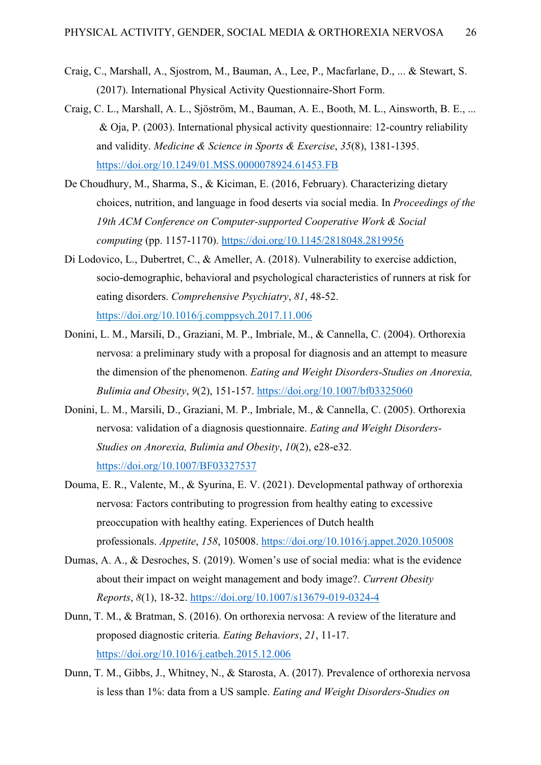- Craig, C., Marshall, A., Sjostrom, M., Bauman, A., Lee, P., Macfarlane, D., ... & Stewart, S. (2017). International Physical Activity Questionnaire-Short Form.
- Craig, C. L., Marshall, A. L., Sjöström, M., Bauman, A. E., Booth, M. L., Ainsworth, B. E., ... & Oja, P. (2003). International physical activity questionnaire: 12-country reliability and validity. *Medicine & Science in Sports & Exercise*, *35*(8), 1381-1395. <https://doi.org/10.1249/01.MSS.0000078924.61453.FB>
- De Choudhury, M., Sharma, S., & Kiciman, E. (2016, February). Characterizing dietary choices, nutrition, and language in food deserts via social media. In *Proceedings of the 19th ACM Conference on Computer-supported Cooperative Work & Social computing* (pp. 1157-1170).<https://doi.org/10.1145/2818048.2819956>
- Di Lodovico, L., Dubertret, C., & Ameller, A. (2018). Vulnerability to exercise addiction, socio-demographic, behavioral and psychological characteristics of runners at risk for eating disorders. *Comprehensive Psychiatry*, *81*, 48-52. https://doi.org[/10.1016/j.comppsych.2017.11.006](https://doi.org/10.1016/j.comppsych.2017.11.006)
- Donini, L. M., Marsili, D., Graziani, M. P., Imbriale, M., & Cannella, C. (2004). Orthorexia nervosa: a preliminary study with a proposal for diagnosis and an attempt to measure the dimension of the phenomenon. *Eating and Weight Disorders-Studies on Anorexia, Bulimia and Obesity*, *9*(2), 151-157.<https://doi.org/10.1007/bf03325060>
- Donini, L. M., Marsili, D., Graziani, M. P., Imbriale, M., & Cannella, C. (2005). Orthorexia nervosa: validation of a diagnosis questionnaire. *Eating and Weight Disorders-Studies on Anorexia, Bulimia and Obesity*, *10*(2), e28-e32. <https://doi.org/>[10.1007/BF03327537](https://doi.org/10.1007/bf03327537)
- Douma, E. R., Valente, M., & Syurina, E. V. (2021). Developmental pathway of orthorexia nervosa: Factors contributing to progression from healthy eating to excessive preoccupation with healthy eating. Experiences of Dutch health professionals. *Appetite*, *158*, 105008.<https://doi.org/10.1016/j.appet.2020.105008>
- Dumas, A. A., & Desroches, S. (2019). Women's use of social media: what is the evidence about their impact on weight management and body image?. *Current Obesity Reports*, *8*(1), 18-32.<https://doi.org/10.1007/s13679-019-0324-4>
- Dunn, T. M., & Bratman, S. (2016). On orthorexia nervosa: A review of the literature and proposed diagnostic criteria. *Eating Behaviors*, *21*, 11-17. <https://doi.org/10.1016/j.eatbeh.2015.12.006>
- Dunn, T. M., Gibbs, J., Whitney, N., & Starosta, A. (2017). Prevalence of orthorexia nervosa is less than 1%: data from a US sample. *Eating and Weight Disorders-Studies on*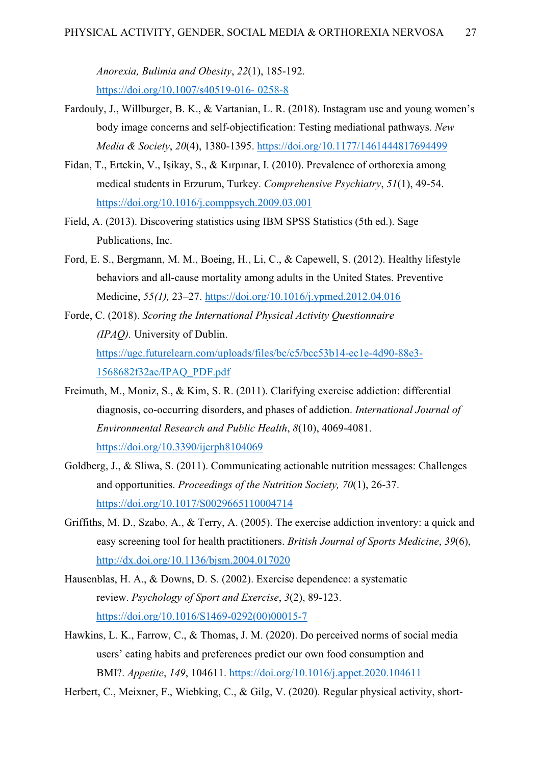*Anorexia, Bulimia and Obesity*, *22*(1), 185-192. <https://doi.org/10.1007/s40519-016-> 0258-8

- Fardouly, J., Willburger, B. K., & Vartanian, L. R. (2018). Instagram use and young women's body image concerns and self-objectification: Testing mediational pathways. *New Media & Society*, *20*(4), 1380-1395. [https://doi.org/10.1177/1461444817694499](https://doi.org/10.1177%2F1461444817694499)
- Fidan, T., Ertekin, V., Işikay, S., & Kırpınar, I. (2010). Prevalence of orthorexia among medical students in Erzurum, Turkey. *Comprehensive Psychiatry*, *51*(1), 49-54. <https://doi.org/10.1016/j.comppsych.2009.03.001>
- Field, A. (2013). Discovering statistics using IBM SPSS Statistics (5th ed.). Sage Publications, Inc.
- Ford, E. S., Bergmann, M. M., Boeing, H., Li, C., & Capewell, S. (2012). Healthy lifestyle behaviors and all-cause mortality among adults in the United States. Preventive Medicine, *55(1),* 23–27. <https://doi.org/10.1016/j.ypmed.2012.04.016>
- Forde, C. (2018). *Scoring the International Physical Activity Questionnaire (IPAQ).* University of Dublin. <https://ugc.futurelearn.com/uploads/files/bc/c5/bcc53b14-ec1e-4d90-88e3-> 1568682f32ae/IPAQ\_PDF.pdf
- Freimuth, M., Moniz, S., & Kim, S. R. (2011). Clarifying exercise addiction: differential diagnosis, co-occurring disorders, and phases of addiction. *International Journal of Environmental Research and Public Health*, *8*(10), 4069-4081. <https://doi.org/10.3390/ijerph8104069>
- Goldberg, J., & Sliwa, S. (2011). Communicating actionable nutrition messages: Challenges and opportunities. *Proceedings of the Nutrition Society, 70*(1), 26-37. <https://doi.org/10.1017/S0029665110004714>
- Griffiths, M. D., Szabo, A., & Terry, A. (2005). The exercise addiction inventory: a quick and easy screening tool for health practitioners. *British Journal of Sports Medicine*, *39*(6), <http://dx.doi.org/10.1136/bjsm.2004.017020>
- Hausenblas, H. A., & Downs, D. S. (2002). Exercise dependence: a systematic review. *Psychology of Sport and Exercise*, *3*(2), 89-123. [https://doi.org/10.1016/S1469-0292\(00\)00015-7](https://doi.org/10.1016/S1469-0292(00)00015-7)
- Hawkins, L. K., Farrow, C., & Thomas, J. M. (2020). Do perceived norms of social media users' eating habits and preferences predict our own food consumption and BMI?. *Appetite*, *149*, 104611.<https://doi.org/10.1016/j.appet.2020.104611>

Herbert, C., Meixner, F., Wiebking, C., & Gilg, V. (2020). Regular physical activity, short-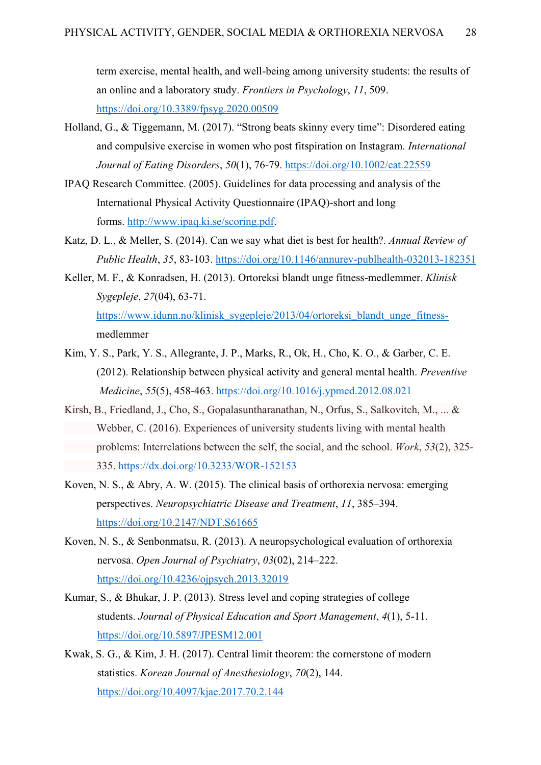term exercise, mental health, and well-being among university students: the results of an online and a laboratory study. *Frontiers in Psychology*, *11*, 509. <https://doi.org/10.3389/fpsyg.2020.00509>

- Holland, G., & Tiggemann, M. (2017). "Strong beats skinny every time": Disordered eating and compulsive exercise in women who post fitspiration on Instagram. *International Journal of Eating Disorders*, *50*(1), 76-79.<https://doi.org/10.1002/eat.22559>
- IPAQ Research Committee. (2005). Guidelines for data processing and analysis of the International Physical Activity Questionnaire (IPAQ)-short and long forms. [http://www.ipaq.ki.se/scoring.pdf.](http://www.ipaq.ki.se/scoring.pdf)
- Katz, D. L., & Meller, S. (2014). Can we say what diet is best for health?. *Annual Review of Public Health*, *35*, 83-103.<https://doi.org/10.1146/annurev-publhealth-032013-182351>
- Keller, M. F., & Konradsen, H. (2013). Ortoreksi blandt unge fitness-medlemmer. *Klinisk Sygepleje*, *27*(04), 63-71. [https://www.idunn.no/klinisk\\_sygepleje/2013/04/ortoreksi\\_blandt\\_unge\\_fitness](https://www.idunn.no/klinisk_sygepleje/2013/04/ortoreksi_blandt_unge_fitness-)medlemmer
- Kim, Y. S., Park, Y. S., Allegrante, J. P., Marks, R., Ok, H., Cho, K. O., & Garber, C. E. (2012). Relationship between physical activity and general mental health. *Preventive Medicine*, *55*(5), 458-463.<https://doi.org/10.1016/j.ypmed.2012.08.021>
- Kirsh, B., Friedland, J., Cho, S., Gopalasuntharanathan, N., Orfus, S., Salkovitch, M., ... & Webber, C. (2016). Experiences of university students living with mental health problems: Interrelations between the self, the social, and the school. *Work*, *53*(2), 325- 335.<https://dx.doi.org/10.3233/WOR-152153>
- Koven, N. S., & Abry, A. W. (2015). The clinical basis of orthorexia nervosa: emerging perspectives. *Neuropsychiatric Disease and Treatment*, *11*, 385–394. <https://doi.org/10.2147/NDT.S61665>
- Koven, N. S., & Senbonmatsu, R. (2013). A neuropsychological evaluation of orthorexia nervosa. *Open Journal of Psychiatry*, *03*(02), 214–222. <https://doi.org/10.4236/ojpsych.2013.32019>
- Kumar, S., & Bhukar, J. P. (2013). Stress level and coping strategies of college students. *Journal of Physical Education and Sport Management*, *4*(1), 5-11. <https://doi.org/10.5897/JPESM12.001>
- Kwak, S. G., & Kim, J. H. (2017). Central limit theorem: the cornerstone of modern statistics. *Korean Journal of Anesthesiology*, *70*(2), 144. <https://doi.org/10.4097/kjae.2017.70.2.144>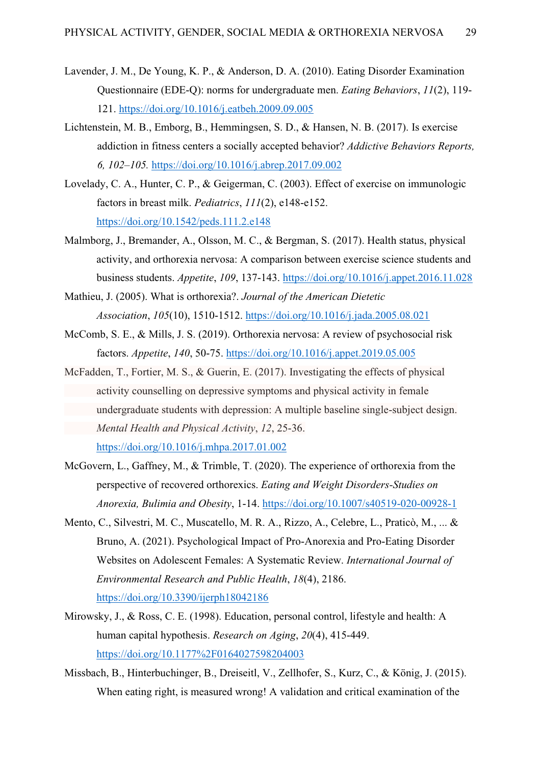- Lavender, J. M., De Young, K. P., & Anderson, D. A. (2010). Eating Disorder Examination Questionnaire (EDE-Q): norms for undergraduate men. *Eating Behaviors*, *11*(2), 119- 121.<https://doi.org/10.1016/j.eatbeh.2009.09.005>
- Lichtenstein, M. B., Emborg, B., Hemmingsen, S. D., & Hansen, N. B. (2017). Is exercise addiction in fitness centers a socially accepted behavior? *Addictive Behaviors Reports, 6, 102–105.* <https://doi.org/10.1016/j.abrep.2017.09.002>
- Lovelady, C. A., Hunter, C. P., & Geigerman, C. (2003). Effect of exercise on immunologic factors in breast milk. *Pediatrics*, *111*(2), e148-e152. <https://doi.org/10.1542/peds.111.2.e148>
- Malmborg, J., Bremander, A., Olsson, M. C., & Bergman, S. (2017). Health status, physical activity, and orthorexia nervosa: A comparison between exercise science students and business students. *Appetite*, *109*, 137-143.<https://doi.org/10.1016/j.appet.2016.11.028>
- Mathieu, J. (2005). What is orthorexia?. *Journal of the American Dietetic Association*, *105*(10), 1510-1512.<https://doi.org/10.1016/j.jada.2005.08.021>
- McComb, S. E., & Mills, J. S. (2019). Orthorexia nervosa: A review of psychosocial risk factors. *Appetite*, *140*, 50-75.<https://doi.org/10.1016/j.appet.2019.05.005>
- McFadden, T., Fortier, M. S., & Guerin, E. (2017). Investigating the effects of physical activity counselling on depressive symptoms and physical activity in female undergraduate students with depression: A multiple baseline single-subject design. *Mental Health and Physical Activity*, *12*, 25-36. <https://doi.org/10.1016/j.mhpa.2017.01.002>
- McGovern, L., Gaffney, M., & Trimble, T. (2020). The experience of orthorexia from the perspective of recovered orthorexics. *Eating and Weight Disorders-Studies on Anorexia, Bulimia and Obesity*, 1-14.<https://doi.org/10.1007/s40519-020-00928-1>
- Mento, C., Silvestri, M. C., Muscatello, M. R. A., Rizzo, A., Celebre, L., Praticò, M., ... & Bruno, A. (2021). Psychological Impact of Pro-Anorexia and Pro-Eating Disorder Websites on Adolescent Females: A Systematic Review. *International Journal of Environmental Research and Public Health*, *18*(4), 2186. <https://doi.org/10.3390/ijerph18042186>
- Mirowsky, J., & Ross, C. E. (1998). Education, personal control, lifestyle and health: A human capital hypothesis. *Research on Aging*, *20*(4), 415-449. <https://doi.org/10.1177%2F0164027598204003>
- Missbach, B., Hinterbuchinger, B., Dreiseitl, V., Zellhofer, S., Kurz, C., & König, J. (2015). When eating right, is measured wrong! A validation and critical examination of the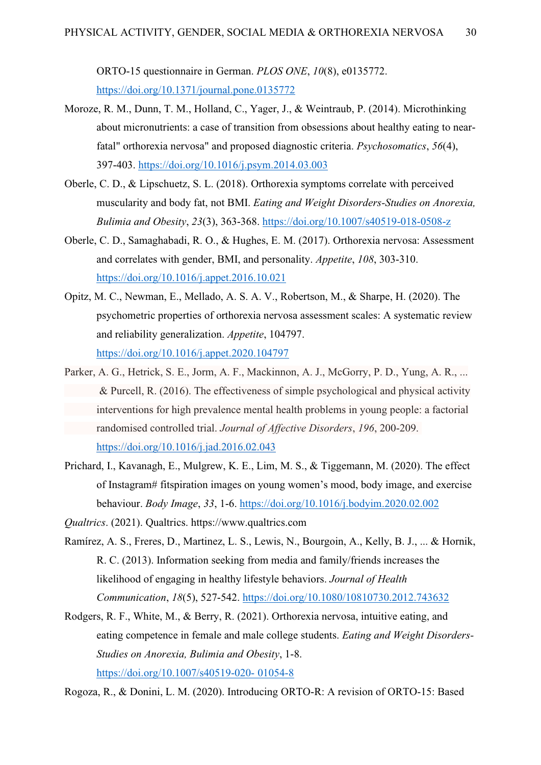ORTO-15 questionnaire in German. *PLOS ONE*, *10*(8), e0135772. <https://doi.org/10.1371/journal.pone.0135772>

- Moroze, R. M., Dunn, T. M., Holland, C., Yager, J., & Weintraub, P. (2014). Microthinking about micronutrients: a case of transition from obsessions about healthy eating to nearfatal" orthorexia nervosa" and proposed diagnostic criteria. *Psychosomatics*, *56*(4), 397-403.<https://doi.org/10.1016/j.psym.2014.03.003>
- Oberle, C. D., & Lipschuetz, S. L. (2018). Orthorexia symptoms correlate with perceived muscularity and body fat, not BMI. *Eating and Weight Disorders-Studies on Anorexia, Bulimia and Obesity*, *23*(3), 363-368.<https://doi.org/10.1007/s40519-018-0508-z>
- Oberle, C. D., Samaghabadi, R. O., & Hughes, E. M. (2017). Orthorexia nervosa: Assessment and correlates with gender, BMI, and personality. *Appetite*, *108*, 303-310. <https://doi.org/10.1016/j.appet.2016.10.021>
- Opitz, M. C., Newman, E., Mellado, A. S. A. V., Robertson, M., & Sharpe, H. (2020). The psychometric properties of orthorexia nervosa assessment scales: A systematic review and reliability generalization. *Appetite*, 104797. <https://doi.org/10.1016/j.appet.2020.104797>
- Parker, A. G., Hetrick, S. E., Jorm, A. F., Mackinnon, A. J., McGorry, P. D., Yung, A. R., ... & Purcell, R. (2016). The effectiveness of simple psychological and physical activity interventions for high prevalence mental health problems in young people: a factorial randomised controlled trial. *Journal of Affective Disorders*, *196*, 200-209. <https://doi.org/10.1016/j.jad.2016.02.043>
- Prichard, I., Kavanagh, E., Mulgrew, K. E., Lim, M. S., & Tiggemann, M. (2020). The effect of Instagram# fitspiration images on young women's mood, body image, and exercise behaviour. *Body Image*, *33*, 1-6.<https://doi.org/10.1016/j.bodyim.2020.02.002>
- *Qualtrics*. (2021). Qualtrics. https://www.qualtrics.com
- Ramírez, A. S., Freres, D., Martinez, L. S., Lewis, N., Bourgoin, A., Kelly, B. J., ... & Hornik, R. C. (2013). Information seeking from media and family/friends increases the likelihood of engaging in healthy lifestyle behaviors. *Journal of Health Communication*, *18*(5), 527-542.<https://doi.org/10.1080/10810730.2012.743632>
- Rodgers, R. F., White, M., & Berry, R. (2021). Orthorexia nervosa, intuitive eating, and eating competence in female and male college students. *Eating and Weight Disorders-Studies on Anorexia, Bulimia and Obesity*, 1-8. [https://doi.org/10.1007/s40519-020-](https://doi.org/10.1007/s40519-020-%0901054-8) 01054-8

Rogoza, R., & Donini, L. M. (2020). Introducing ORTO-R: A revision of ORTO-15: Based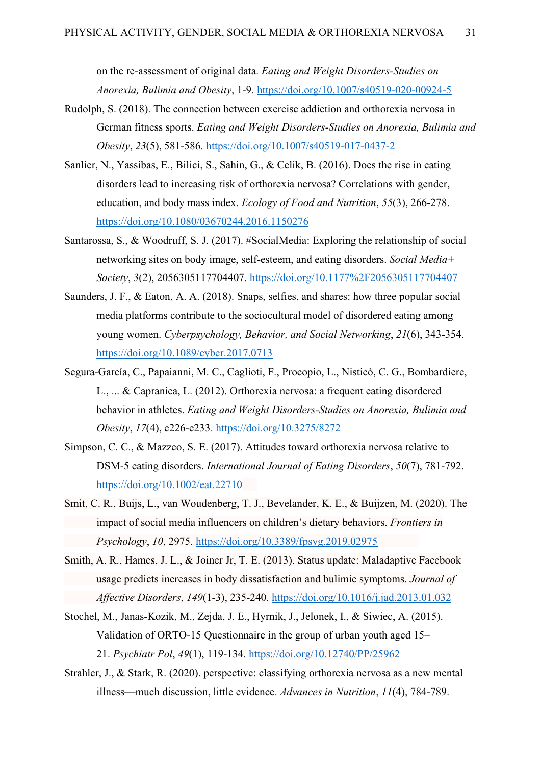on the re-assessment of original data. *Eating and Weight Disorders-Studies on Anorexia, Bulimia and Obesity*, 1-9.<https://doi.org/10.1007/s40519-020-00924-5>

- Rudolph, S. (2018). The connection between exercise addiction and orthorexia nervosa in German fitness sports. *Eating and Weight Disorders-Studies on Anorexia, Bulimia and Obesity*, *23*(5), 581-586.<https://doi.org/10.1007/s40519-017-0437-2>
- Sanlier, N., Yassibas, E., Bilici, S., Sahin, G., & Celik, B. (2016). Does the rise in eating disorders lead to increasing risk of orthorexia nervosa? Correlations with gender, education, and body mass index. *Ecology of Food and Nutrition*, *55*(3), 266-278. <https://doi.org/10.1080/03670244.2016.1150276>
- Santarossa, S., & Woodruff, S. J. (2017). #SocialMedia: Exploring the relationship of social networking sites on body image, self-esteem, and eating disorders. *Social Media+ Society*, *3*(2), 2056305117704407.<https://doi.org/10.1177%2F2056305117704407>
- Saunders, J. F., & Eaton, A. A. (2018). Snaps, selfies, and shares: how three popular social media platforms contribute to the sociocultural model of disordered eating among young women. *Cyberpsychology, Behavior, and Social Networking*, *21*(6), 343-354. <https://doi.org/10.1089/cyber.2017.0713>
- Segura-García, C., Papaianni, M. C., Caglioti, F., Procopio, L., Nisticò, C. G., Bombardiere, L., ... & Capranica, L. (2012). Orthorexia nervosa: a frequent eating disordered behavior in athletes. *Eating and Weight Disorders-Studies on Anorexia, Bulimia and Obesity*, *17*(4), e226-e233. <https://doi.org/10.3275/8272>
- Simpson, C. C., & Mazzeo, S. E. (2017). Attitudes toward orthorexia nervosa relative to DSM‐5 eating disorders. *International Journal of Eating Disorders*, *50*(7), 781-792. <https://doi.org/10.1002/eat.22710>
- Smit, C. R., Buijs, L., van Woudenberg, T. J., Bevelander, K. E., & Buijzen, M. (2020). The impact of social media influencers on children's dietary behaviors. *Frontiers in Psychology*, *10*, 2975.<https://doi.org/10.3389/fpsyg.2019.02975>
- Smith, A. R., Hames, J. L., & Joiner Jr, T. E. (2013). Status update: Maladaptive Facebook usage predicts increases in body dissatisfaction and bulimic symptoms. *Journal of Affective Disorders*, *149*(1-3), 235-240.<https://doi.org/10.1016/j.jad.2013.01.032>
- Stochel, M., Janas-Kozik, M., Zejda, J. E., Hyrnik, J., Jelonek, I., & Siwiec, A. (2015). Validation of ORTO-15 Questionnaire in the group of urban youth aged 15– 21. *Psychiatr Pol*, *49*(1), 119-134.<https://doi.org/10.12740/PP/25962>
- Strahler, J., & Stark, R. (2020). perspective: classifying orthorexia nervosa as a new mental illness—much discussion, little evidence. *Advances in Nutrition*, *11*(4), 784-789.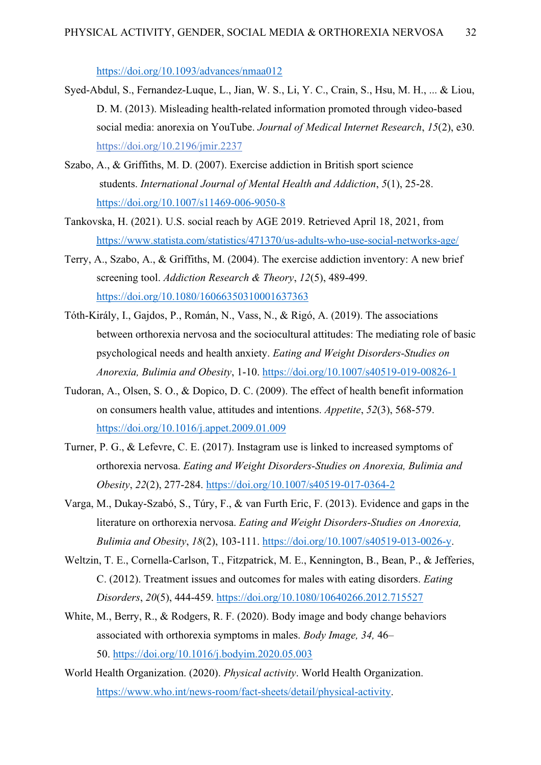<https://doi.org/10.1093/advances/nmaa012>

- Syed-Abdul, S., Fernandez-Luque, L., Jian, W. S., Li, Y. C., Crain, S., Hsu, M. H., ... & Liou, D. M. (2013). Misleading health-related information promoted through video-based social media: anorexia on YouTube. *Journal of Medical Internet Research*, *15*(2), e30. https://doi.org[/10.2196/jmir.2237](https://doi.org/10.2196/jmir.2237)
- Szabo, A., & Griffiths, M. D. (2007). Exercise addiction in British sport science students. *International Journal of Mental Health and Addiction*, *5*(1), 25-28. <https://doi.org/10.1007/s11469-006-9050-8>
- Tankovska, H. (2021). U.S. social reach by AGE 2019. Retrieved April 18, 2021, from <https://www.statista.com/statistics/471370/us-adults-who-use-social-networks-age/>
- Terry, A., Szabo, A., & Griffiths, M. (2004). The exercise addiction inventory: A new brief screening tool. *Addiction Research & Theory*, *12*(5), 489-499. <https://doi.org/10.1080/16066350310001637363>
- Tóth-Király, I., Gajdos, P., Román, N., Vass, N., & Rigó, A. (2019). The associations between orthorexia nervosa and the sociocultural attitudes: The mediating role of basic psychological needs and health anxiety. *Eating and Weight Disorders-Studies on Anorexia, Bulimia and Obesity*, 1-10.<https://doi.org/10.1007/s40519-019-00826-1>
- Tudoran, A., Olsen, S. O., & Dopico, D. C. (2009). The effect of health benefit information on consumers health value, attitudes and intentions. *Appetite*, *52*(3), 568-579. <https://doi.org/10.1016/j.appet.2009.01.009>
- Turner, P. G., & Lefevre, C. E. (2017). Instagram use is linked to increased symptoms of orthorexia nervosa. *Eating and Weight Disorders-Studies on Anorexia, Bulimia and Obesity*, *22*(2), 277-284.<https://doi.org/10.1007/s40519-017-0364-2>
- Varga, M., Dukay-Szabó, S., Túry, F., & van Furth Eric, F. (2013). Evidence and gaps in the literature on orthorexia nervosa. *Eating and Weight Disorders-Studies on Anorexia, Bulimia and Obesity*, *18*(2), 103-111. [https://doi.org/10.1007/s40519-013-0026-y.](https://doi.org/10.1007/s40519-013-0026-y)
- Weltzin, T. E., Cornella-Carlson, T., Fitzpatrick, M. E., Kennington, B., Bean, P., & Jefferies, C. (2012). Treatment issues and outcomes for males with eating disorders. *Eating Disorders*, *20*(5), 444-459.<https://doi.org/10.1080/10640266.2012.715527>
- White, M., Berry, R., & Rodgers, R. F. (2020). Body image and body change behaviors associated with orthorexia symptoms in males. *Body Image, 34,* 46– 50. <https://doi.org/10.1016/j.bodyim.2020.05.003>
- World Health Organization. (2020). *Physical activity*. World Health Organization. [https://www.who.int/news-room/fact-sheets/detail/physical-activity.](https://www.who.int/news-room/fact-sheets/detail/physical-activity)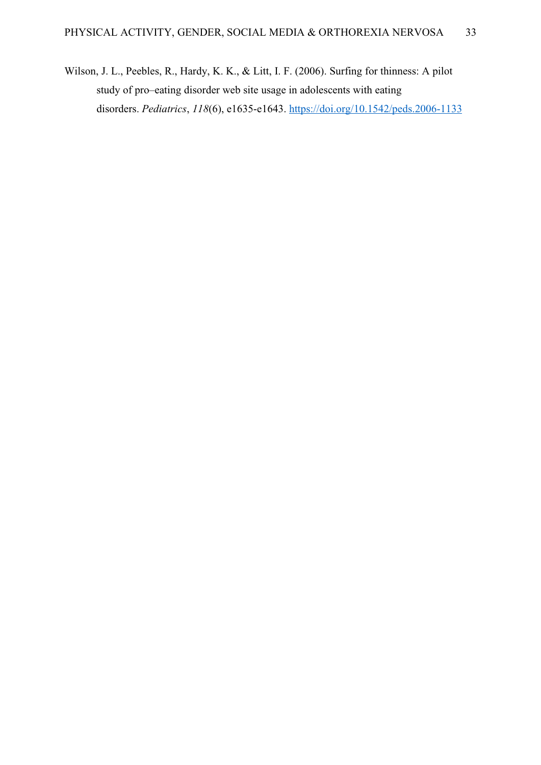Wilson, J. L., Peebles, R., Hardy, K. K., & Litt, I. F. (2006). Surfing for thinness: A pilot study of pro–eating disorder web site usage in adolescents with eating disorders. *Pediatrics*, *118*(6), e1635-e1643. <https://doi.org/10.1542/peds.2006-1133>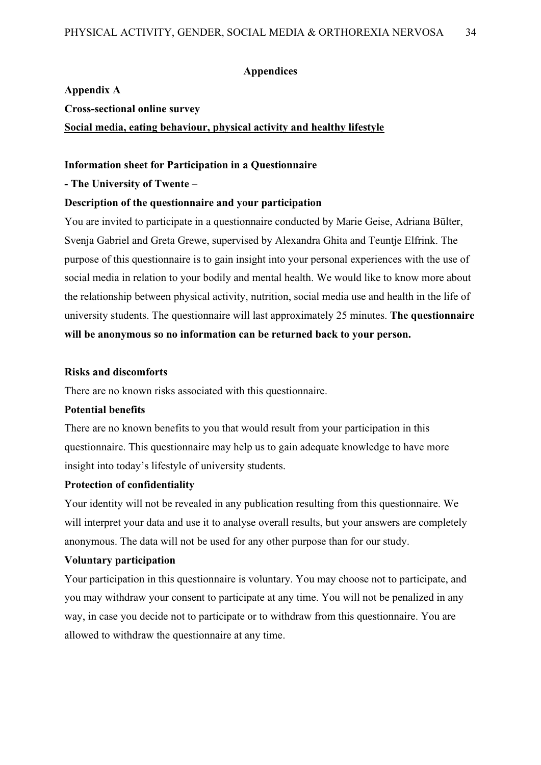#### **Appendices**

#### <span id="page-33-0"></span>**Appendix A**

**Cross-sectional online survey**

**Social media, eating behaviour, physical activity and healthy lifestyle**

#### **Information sheet for Participation in a Questionnaire**

#### **- The University of Twente –**

#### **Description of the questionnaire and your participation**

You are invited to participate in a questionnaire conducted by Marie Geise, Adriana Bülter, Svenja Gabriel and Greta Grewe, supervised by Alexandra Ghita and Teuntje Elfrink. The purpose of this questionnaire is to gain insight into your personal experiences with the use of social media in relation to your bodily and mental health. We would like to know more about the relationship between physical activity, nutrition, social media use and health in the life of university students. The questionnaire will last approximately 25 minutes. **The questionnaire will be anonymous so no information can be returned back to your person.**

#### **Risks and discomforts**

There are no known risks associated with this questionnaire.

#### **Potential benefits**

There are no known benefits to you that would result from your participation in this questionnaire. This questionnaire may help us to gain adequate knowledge to have more insight into today's lifestyle of university students.

## **Protection of confidentiality**

Your identity will not be revealed in any publication resulting from this questionnaire. We will interpret your data and use it to analyse overall results, but your answers are completely anonymous. The data will not be used for any other purpose than for our study.

#### **Voluntary participation**

Your participation in this questionnaire is voluntary. You may choose not to participate, and you may withdraw your consent to participate at any time. You will not be penalized in any way, in case you decide not to participate or to withdraw from this questionnaire. You are allowed to withdraw the questionnaire at any time.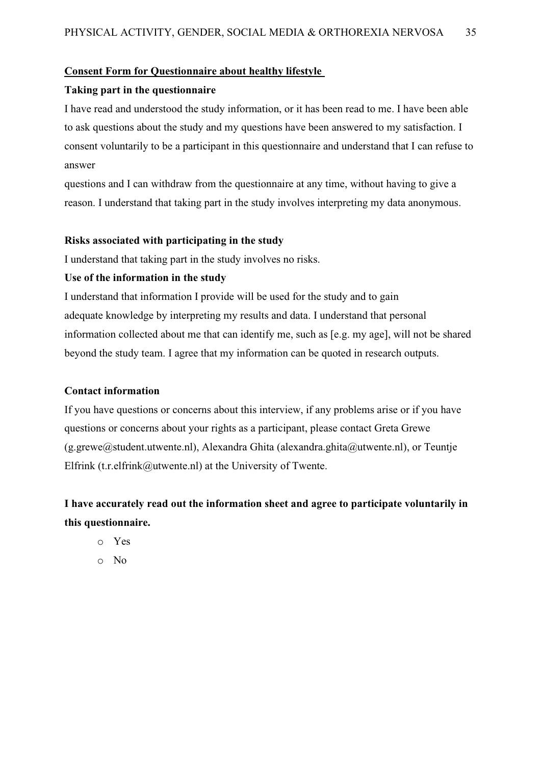#### **Consent Form for Questionnaire about healthy lifestyle**

#### **Taking part in the questionnaire**

I have read and understood the study information, or it has been read to me. I have been able to ask questions about the study and my questions have been answered to my satisfaction. I consent voluntarily to be a participant in this questionnaire and understand that I can refuse to answer

questions and I can withdraw from the questionnaire at any time, without having to give a reason. I understand that taking part in the study involves interpreting my data anonymous.

#### **Risks associated with participating in the study**

I understand that taking part in the study involves no risks.

#### **Use of the information in the study**

I understand that information I provide will be used for the study and to gain adequate knowledge by interpreting my results and data. I understand that personal information collected about me that can identify me, such as [e.g. my age], will not be shared beyond the study team. I agree that my information can be quoted in research outputs.

#### **Contact information**

If you have questions or concerns about this interview, if any problems arise or if you have questions or concerns about your rights as a participant, please contact Greta Grewe  $(g.grewe@student.util), Alexandra Ghita (alexandra.ghita@utwente.nl), or Teuntje$ Elfrink (t.r.elfrink@utwente.nl) at the University of Twente.

## **I have accurately read out the information sheet and agree to participate voluntarily in this questionnaire.**

- o Yes
- o No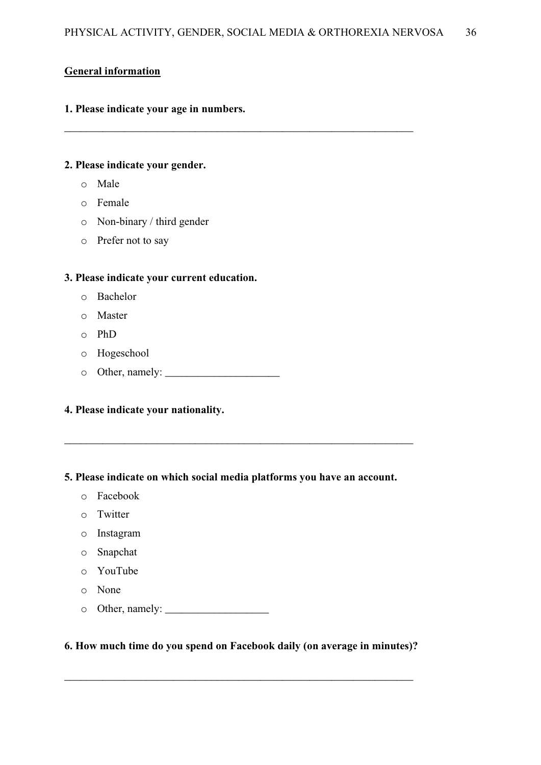$\_$  , and the contribution of  $\overline{a}$  , and  $\overline{a}$  , and  $\overline{a}$  , and  $\overline{a}$  , and  $\overline{a}$  , and  $\overline{a}$  , and  $\overline{a}$  , and  $\overline{a}$  , and  $\overline{a}$  , and  $\overline{a}$  , and  $\overline{a}$  , and  $\overline{a}$  , and  $\overline{a}$  ,

## **General information**

## **1. Please indicate your age in numbers.**

## **2. Please indicate your gender.**

- o Male
- o Female
- o Non-binary / third gender
- o Prefer not to say

## **3. Please indicate your current education.**

- o Bachelor
- o Master
- o PhD
- o Hogeschool
- o Other, namely: \_\_\_\_\_\_\_\_\_\_\_\_\_\_\_\_\_\_\_\_\_

## **4. Please indicate your nationality.**

## **5. Please indicate on which social media platforms you have an account.**

\_\_\_\_\_\_\_\_\_\_\_\_\_\_\_\_\_\_\_\_\_\_\_\_\_\_\_\_\_\_\_\_\_\_\_\_\_\_\_\_\_\_\_\_\_\_\_\_\_\_\_\_\_\_\_\_\_\_\_\_\_\_\_\_

- o Facebook
- o Twitter
- o Instagram
- o Snapchat
- o YouTube
- o None
- o Other, namely: \_\_\_\_\_\_\_\_\_\_\_\_\_\_\_\_\_\_\_

## **6. How much time do you spend on Facebook daily (on average in minutes)?**

\_\_\_\_\_\_\_\_\_\_\_\_\_\_\_\_\_\_\_\_\_\_\_\_\_\_\_\_\_\_\_\_\_\_\_\_\_\_\_\_\_\_\_\_\_\_\_\_\_\_\_\_\_\_\_\_\_\_\_\_\_\_\_\_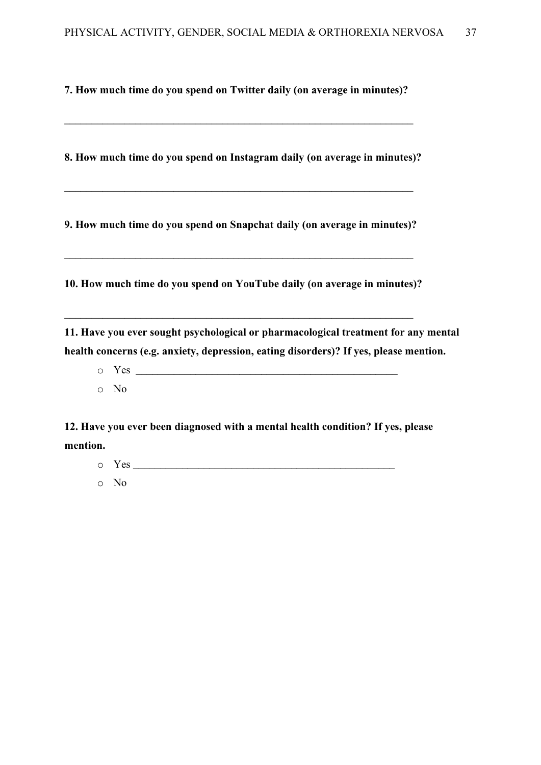**7. How much time do you spend on Twitter daily (on average in minutes)?**

\_\_\_\_\_\_\_\_\_\_\_\_\_\_\_\_\_\_\_\_\_\_\_\_\_\_\_\_\_\_\_\_\_\_\_\_\_\_\_\_\_\_\_\_\_\_\_\_\_\_\_\_\_\_\_\_\_\_\_\_\_\_\_\_

**8. How much time do you spend on Instagram daily (on average in minutes)?**

\_\_\_\_\_\_\_\_\_\_\_\_\_\_\_\_\_\_\_\_\_\_\_\_\_\_\_\_\_\_\_\_\_\_\_\_\_\_\_\_\_\_\_\_\_\_\_\_\_\_\_\_\_\_\_\_\_\_\_\_\_\_\_\_

**9. How much time do you spend on Snapchat daily (on average in minutes)?**

\_\_\_\_\_\_\_\_\_\_\_\_\_\_\_\_\_\_\_\_\_\_\_\_\_\_\_\_\_\_\_\_\_\_\_\_\_\_\_\_\_\_\_\_\_\_\_\_\_\_\_\_\_\_\_\_\_\_\_\_\_\_\_\_

**10. How much time do you spend on YouTube daily (on average in minutes)?**

\_\_\_\_\_\_\_\_\_\_\_\_\_\_\_\_\_\_\_\_\_\_\_\_\_\_\_\_\_\_\_\_\_\_\_\_\_\_\_\_\_\_\_\_\_\_\_\_\_\_\_\_\_\_\_\_\_\_\_\_\_\_\_\_

**11. Have you ever sought psychological or pharmacological treatment for any mental health concerns (e.g. anxiety, depression, eating disorders)? If yes, please mention.**

o Yes \_\_\_\_\_\_\_\_\_\_\_\_\_\_\_\_\_\_\_\_\_\_\_\_\_\_\_\_\_\_\_\_\_\_\_\_\_\_\_\_\_\_\_\_\_\_\_\_ o No

**12. Have you ever been diagnosed with a mental health condition? If yes, please mention.**

- $\circ$  Yes  $\_\_$
- o No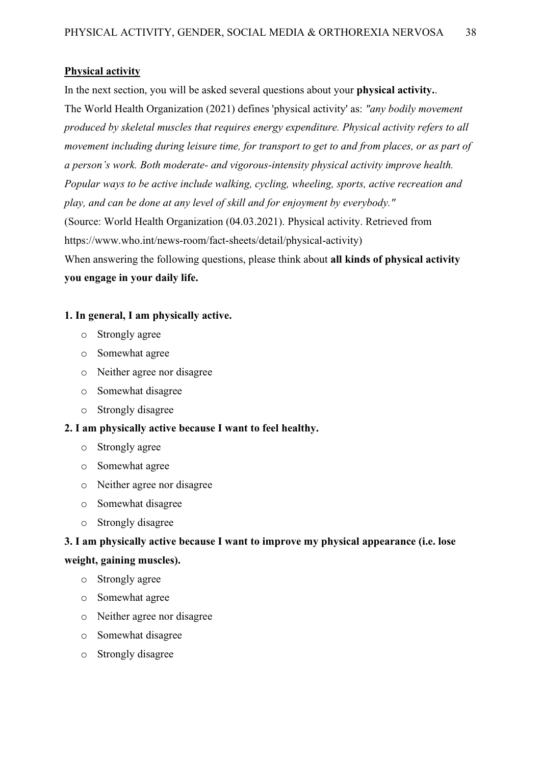#### **Physical activity**

In the next section, you will be asked several questions about your **physical activity.**. The World Health Organization (2021) defines 'physical activity' as: *"any bodily movement produced by skeletal muscles that requires energy expenditure. Physical activity refers to all movement including during leisure time, for transport to get to and from places, or as part of a person's work. Both moderate- and vigorous-intensity physical activity improve health. Popular ways to be active include walking, cycling, wheeling, sports, active recreation and play, and can be done at any level of skill and for enjoyment by everybody."* (Source: World Health Organization (04.03.2021). Physical activity. Retrieved from https://www.who.int/news-room/fact-sheets/detail/physical-activity) When answering the following questions, please think about **all kinds of physical activity you engage in your daily life.**

## **1. In general, I am physically active.**

- o Strongly agree
- o Somewhat agree
- o Neither agree nor disagree
- o Somewhat disagree
- o Strongly disagree

#### **2. I am physically active because I want to feel healthy.**

- o Strongly agree
- o Somewhat agree
- o Neither agree nor disagree
- o Somewhat disagree
- o Strongly disagree

## **3. I am physically active because I want to improve my physical appearance (i.e. lose**

#### **weight, gaining muscles).**

- o Strongly agree
- o Somewhat agree
- o Neither agree nor disagree
- o Somewhat disagree
- o Strongly disagree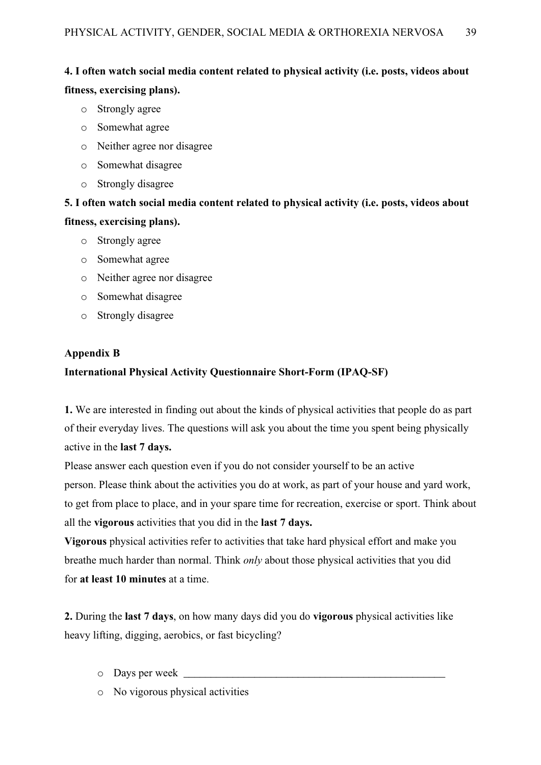## **4. I often watch social media content related to physical activity (i.e. posts, videos about fitness, exercising plans).**

- o Strongly agree
- o Somewhat agree
- o Neither agree nor disagree
- o Somewhat disagree
- o Strongly disagree

## **5. I often watch social media content related to physical activity (i.e. posts, videos about fitness, exercising plans).**

- o Strongly agree
- o Somewhat agree
- o Neither agree nor disagree
- o Somewhat disagree
- o Strongly disagree

## <span id="page-38-0"></span>**Appendix B**

## **International Physical Activity Questionnaire Short-Form (IPAQ-SF)**

**1.** We are interested in finding out about the kinds of physical activities that people do as part of their everyday lives. The questions will ask you about the time you spent being physically active in the **last 7 days.**

Please answer each question even if you do not consider yourself to be an active person. Please think about the activities you do at work, as part of your house and yard work, to get from place to place, and in your spare time for recreation, exercise or sport. Think about all the **vigorous** activities that you did in the **last 7 days.**

**Vigorous** physical activities refer to activities that take hard physical effort and make you breathe much harder than normal. Think *only* about those physical activities that you did for **at least 10 minutes** at a time.

**2.** During the **last 7 days**, on how many days did you do **vigorous** physical activities like heavy lifting, digging, aerobics, or fast bicycling?

- $\circ$  Days per week  $\Box$
- o No vigorous physical activities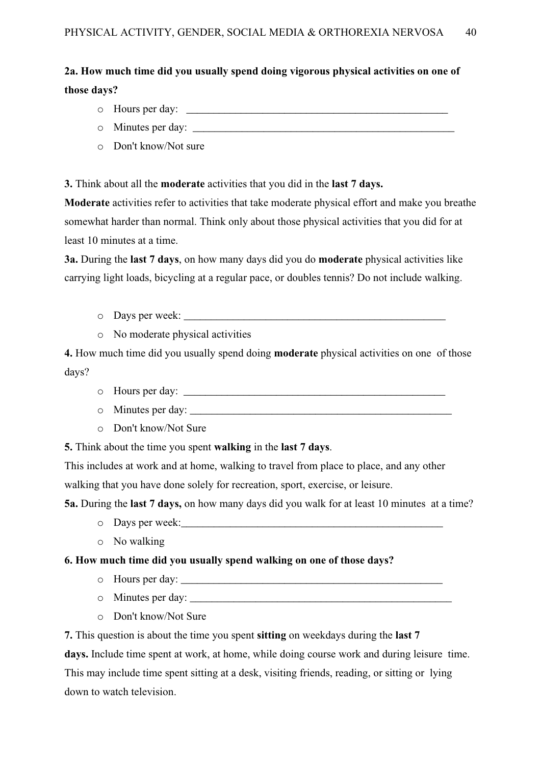## **2a. How much time did you usually spend doing vigorous physical activities on one of those days?**

- o Hours per day: \_\_\_\_\_\_\_\_\_\_\_\_\_\_\_\_\_\_\_\_\_\_\_\_\_\_\_\_\_\_\_\_\_\_\_\_\_\_\_\_\_\_\_\_\_\_\_\_
- o Minutes per day:
- o Don't know/Not sure

**3.** Think about all the **moderate** activities that you did in the **last 7 days.**

**Moderate** activities refer to activities that take moderate physical effort and make you breathe somewhat harder than normal. Think only about those physical activities that you did for at least 10 minutes at a time.

**3a.** During the **last 7 days**, on how many days did you do **moderate** physical activities like carrying light loads, bicycling at a regular pace, or doubles tennis? Do not include walking.

- $\circ$  Days per week:
- o No moderate physical activities

**4.** How much time did you usually spend doing **moderate** physical activities on one of those days?

- o Hours per day: \_\_\_\_\_\_\_\_\_\_\_\_\_\_\_\_\_\_\_\_\_\_\_\_\_\_\_\_\_\_\_\_\_\_\_\_\_\_\_\_\_\_\_\_\_\_\_\_
- $\circ$  Minutes per day:
- o Don't know/Not Sure

**5.** Think about the time you spent **walking** in the **last 7 days**.

This includes at work and at home, walking to travel from place to place, and any other walking that you have done solely for recreation, sport, exercise, or leisure.

**5a.** During the **last 7 days,** on how many days did you walk for at least 10 minutes at a time?

- o Days per week:
- o No walking

## **6. How much time did you usually spend walking on one of those days?**

- o Hours per day:
- $\circ$  Minutes per day:
- o Don't know/Not Sure

**7.** This question is about the time you spent **sitting** on weekdays during the **last 7 days.** Include time spent at work, at home, while doing course work and during leisure time. This may include time spent sitting at a desk, visiting friends, reading, or sitting or lying down to watch television.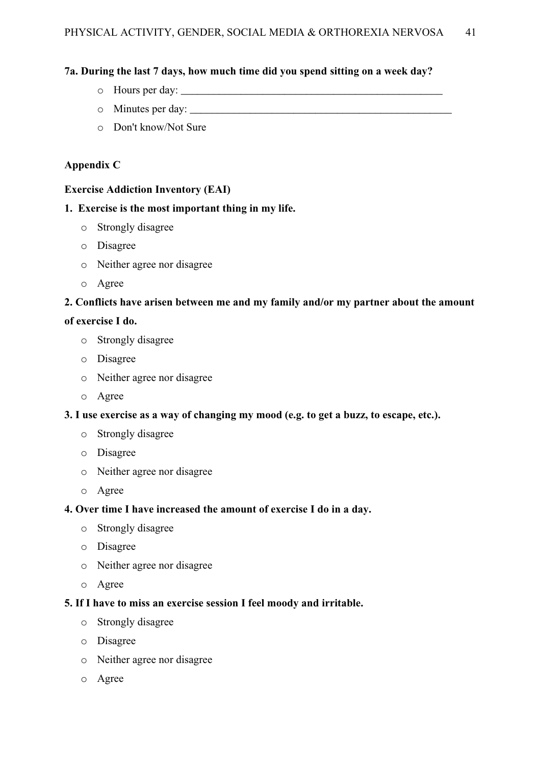## **7a. During the last 7 days, how much time did you spend sitting on a week day?**

- o Hours per day: \_\_\_\_\_\_\_\_\_\_\_\_\_\_\_\_\_\_\_\_\_\_\_\_\_\_\_\_\_\_\_\_\_\_\_\_\_\_\_\_\_\_\_\_\_\_\_\_
- o Minutes per day: \_\_\_\_\_\_\_\_\_\_\_\_\_\_\_\_\_\_\_\_\_\_\_\_\_\_\_\_\_\_\_\_\_\_\_\_\_\_\_\_\_\_\_\_\_\_\_\_
- o Don't know/Not Sure

## <span id="page-40-0"></span>**Appendix C**

## **Exercise Addiction Inventory (EAI)**

## **1. Exercise is the most important thing in my life.**

- o Strongly disagree
- o Disagree
- o Neither agree nor disagree
- o Agree

## **2. Conflicts have arisen between me and my family and/or my partner about the amount**

## **of exercise I do.**

- o Strongly disagree
- o Disagree
- o Neither agree nor disagree
- o Agree

## **3. I use exercise as a way of changing my mood (e.g. to get a buzz, to escape, etc.).**

- o Strongly disagree
- o Disagree
- o Neither agree nor disagree
- o Agree

## **4. Over time I have increased the amount of exercise I do in a day.**

- o Strongly disagree
- o Disagree
- o Neither agree nor disagree
- o Agree

## **5. If I have to miss an exercise session I feel moody and irritable.**

- o Strongly disagree
- o Disagree
- o Neither agree nor disagree
- o Agree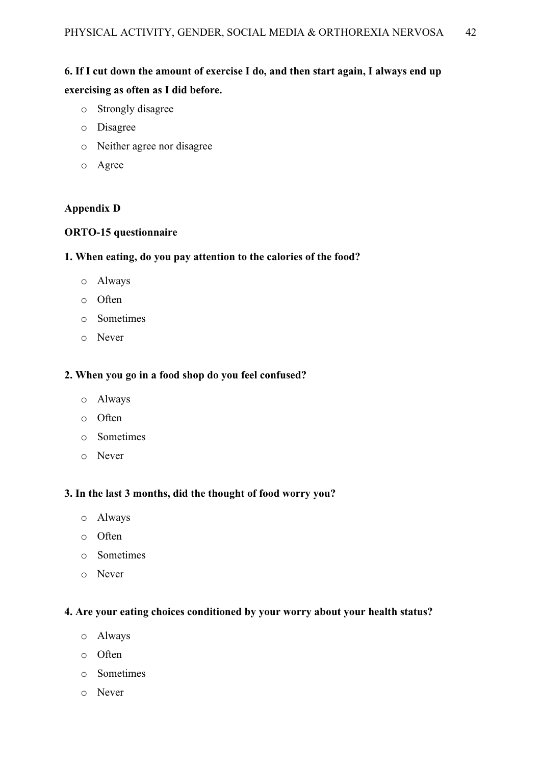## **6. If I cut down the amount of exercise I do, and then start again, I always end up exercising as often as I did before.**

- o Strongly disagree
- o Disagree
- o Neither agree nor disagree
- o Agree

## <span id="page-41-0"></span>**Appendix D**

## **ORTO-15 questionnaire**

## **1. When eating, do you pay attention to the calories of the food?**

- o Always
- o Often
- o Sometimes
- o Never

#### **2. When you go in a food shop do you feel confused?**

- o Always
- o Often
- o Sometimes
- o Never

## **3. In the last 3 months, did the thought of food worry you?**

- o Always
- o Often
- o Sometimes
- o Never

### **4. Are your eating choices conditioned by your worry about your health status?**

- o Always
- o Often
- o Sometimes
- o Never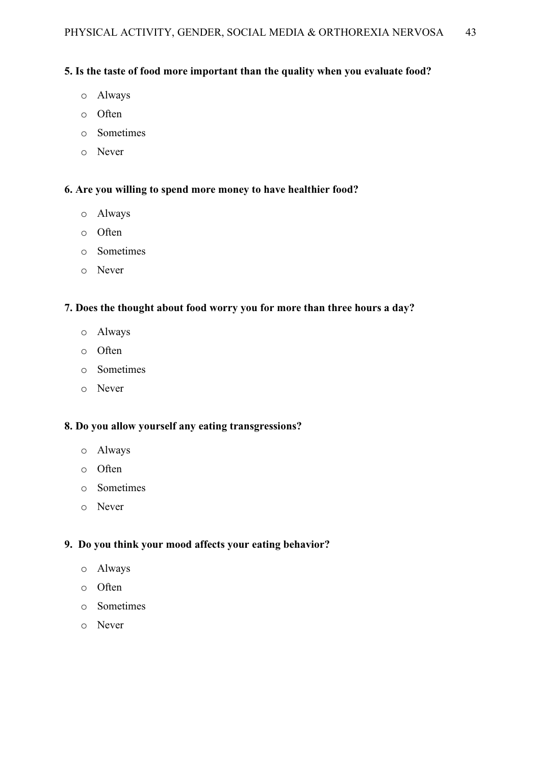## **5. Is the taste of food more important than the quality when you evaluate food?**

- o Always
- o Often
- o Sometimes
- o Never

## **6. Are you willing to spend more money to have healthier food?**

- o Always
- o Often
- o Sometimes
- o Never

## **7. Does the thought about food worry you for more than three hours a day?**

- o Always
- o Often
- o Sometimes
- o Never

## **8. Do you allow yourself any eating transgressions?**

- o Always
- o Often
- o Sometimes
- o Never

## **9. Do you think your mood affects your eating behavior?**

- o Always
- o Often
- o Sometimes
- o Never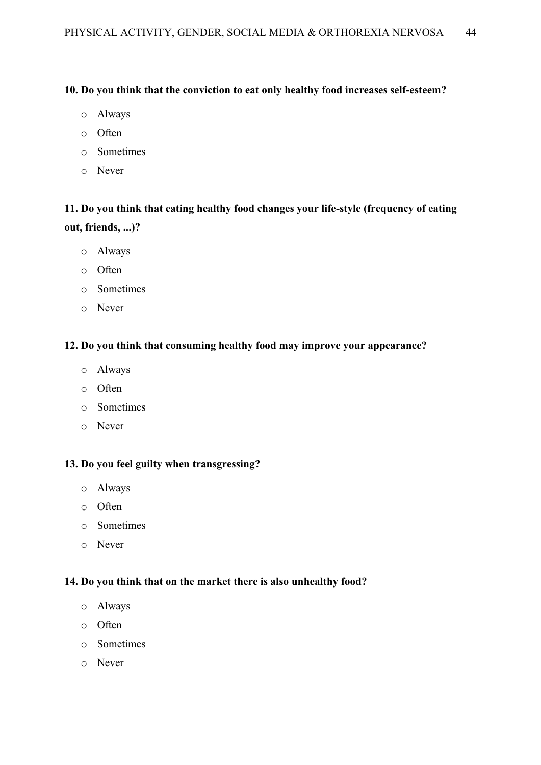## **10. Do you think that the conviction to eat only healthy food increases self-esteem?**

- o Always
- o Often
- o Sometimes
- o Never

## **11. Do you think that eating healthy food changes your life-style (frequency of eating out, friends, ...)?**

- o Always
- o Often
- o Sometimes
- o Never

#### **12. Do you think that consuming healthy food may improve your appearance?**

- o Always
- o Often
- o Sometimes
- o Never

## **13. Do you feel guilty when transgressing?**

- o Always
- o Often
- o Sometimes
- o Never

## **14. Do you think that on the market there is also unhealthy food?**

- o Always
- o Often
- o Sometimes
- o Never